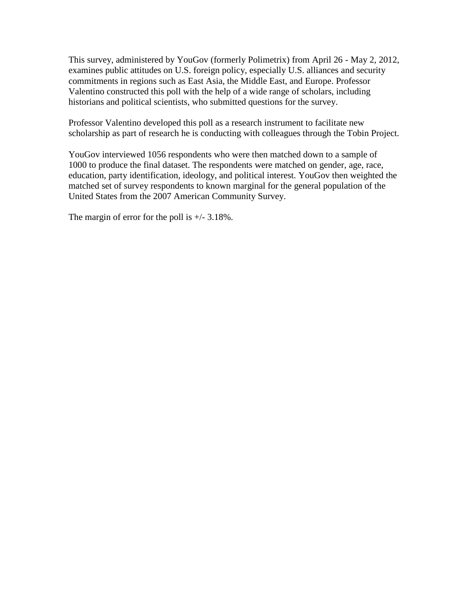This survey, administered by YouGov (formerly Polimetrix) from April 26 - May 2, 2012, examines public attitudes on U.S. foreign policy, especially U.S. alliances and security commitments in regions such as East Asia, the Middle East, and Europe. Professor Valentino constructed this poll with the help of a wide range of scholars, including historians and political scientists, who submitted questions for the survey.

Professor Valentino developed this poll as a research instrument to facilitate new scholarship as part of research he is conducting with colleagues through the Tobin Project.

YouGov interviewed 1056 respondents who were then matched down to a sample of 1000 to produce the final dataset. The respondents were matched on gender, age, race, education, party identification, ideology, and political interest. YouGov then weighted the matched set of survey respondents to known marginal for the general population of the United States from the 2007 American Community Survey.

The margin of error for the poll is  $+/- 3.18\%$ .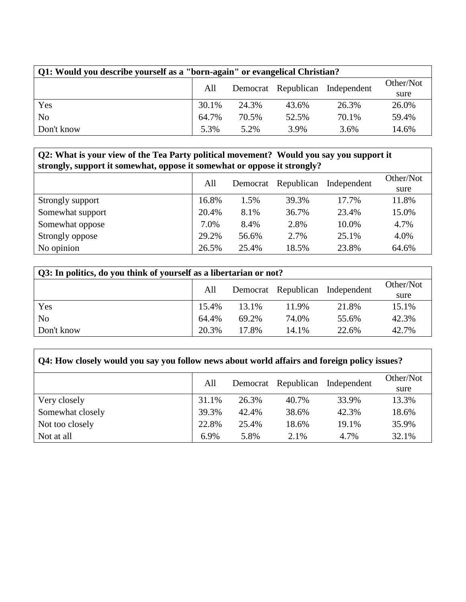| Q1: Would you describe yourself as a "born-again" or evangelical Christian? |                                        |           |       |       |       |  |  |  |
|-----------------------------------------------------------------------------|----------------------------------------|-----------|-------|-------|-------|--|--|--|
|                                                                             | Democrat Republican Independent<br>All | Other/Not |       |       |       |  |  |  |
|                                                                             |                                        |           |       |       | sure  |  |  |  |
| Yes                                                                         | 30.1%                                  | 24.3%     | 43.6% | 26.3% | 26.0% |  |  |  |
| No                                                                          | 64.7%                                  | 70.5%     | 52.5% | 70.1% | 59.4% |  |  |  |
| Don't know                                                                  | 5.3%                                   | 5.2%      | 3.9%  | 3.6%  | 14.6% |  |  |  |

# **Q2: What is your view of the Tea Party political movement? Would you say you support it strongly, support it somewhat, oppose it somewhat or oppose it strongly?**

|                  |       | All<br>Democrat | Republican | Independent | Other/Not |
|------------------|-------|-----------------|------------|-------------|-----------|
|                  |       |                 |            |             | sure      |
| Strongly support | 16.8% | 1.5%            | 39.3%      | 17.7%       | 11.8%     |
| Somewhat support | 20.4% | 8.1%            | 36.7%      | 23.4%       | 15.0%     |
| Somewhat oppose  | 7.0%  | 8.4%            | 2.8%       | 10.0%       | 4.7%      |
| Strongly oppose  | 29.2% | 56.6%           | 2.7%       | 25.1%       | 4.0%      |
| No opinion       | 26.5% | 25.4%           | 18.5%      | 23.8%       | 64.6%     |

| Q3: In politics, do you think of yourself as a libertarian or not? |       |                                 |       |       |       |  |  |  |
|--------------------------------------------------------------------|-------|---------------------------------|-------|-------|-------|--|--|--|
|                                                                    | All   | Democrat Republican Independent |       |       |       |  |  |  |
|                                                                    |       |                                 |       |       | sure  |  |  |  |
| Yes                                                                | 15.4% | 13.1%                           | 11.9% | 21.8% | 15.1% |  |  |  |
| N <sub>o</sub>                                                     | 64.4% | 69.2%                           | 74.0% | 55.6% | 42.3% |  |  |  |
| Don't know                                                         | 20.3% | 17.8%                           | 14.1% | 22.6% | 42.7% |  |  |  |

٦

| Q4: How closely would you say you follow news about world affairs and foreign policy issues? |       |       |                     |             |           |  |  |  |
|----------------------------------------------------------------------------------------------|-------|-------|---------------------|-------------|-----------|--|--|--|
|                                                                                              | All   |       | Democrat Republican | Independent | Other/Not |  |  |  |
|                                                                                              |       |       |                     |             | sure      |  |  |  |
| Very closely                                                                                 | 31.1% | 26.3% | 40.7%               | 33.9%       | 13.3%     |  |  |  |
| Somewhat closely                                                                             | 39.3% | 42.4% | 38.6%               | 42.3%       | 18.6%     |  |  |  |
| Not too closely                                                                              | 22.8% | 25.4% | 18.6%               | 19.1%       | 35.9%     |  |  |  |
| Not at all                                                                                   | 6.9%  | 5.8%  | 2.1%                | 4.7%        | 32.1%     |  |  |  |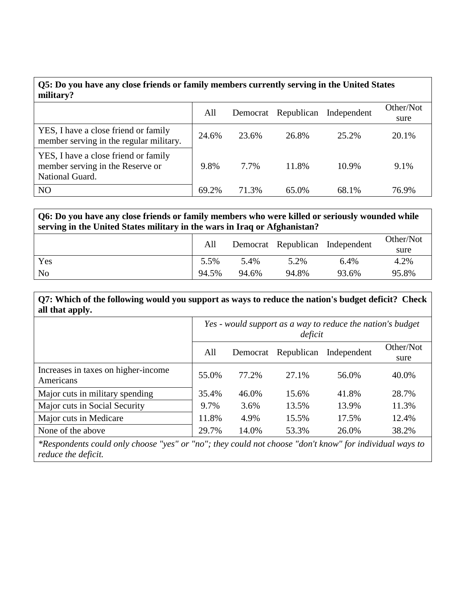| Q5: Do you have any close friends or family members currently serving in the United States<br>military? |       |       |                     |             |                   |  |  |  |
|---------------------------------------------------------------------------------------------------------|-------|-------|---------------------|-------------|-------------------|--|--|--|
|                                                                                                         | All   |       | Democrat Republican | Independent | Other/Not<br>sure |  |  |  |
| YES, I have a close friend or family<br>member serving in the regular military.                         | 24.6% | 23.6% | 26.8%               | 25.2%       | 20.1%             |  |  |  |
| YES, I have a close friend or family<br>member serving in the Reserve or<br>National Guard.             | 9.8%  | 7.7%  | 11.8%               | 10.9%       | 9.1%              |  |  |  |
| N <sub>O</sub>                                                                                          | 69.2% | 71.3% | 65.0%               | 68.1%       | 76.9%             |  |  |  |

**Q6: Do you have any close friends or family members who were killed or seriously wounded while serving in the United States military in the wars in Iraq or Afghanistan?**

|                | All   |       |       | Democrat Republican Independent | Other/Not<br>sure |
|----------------|-------|-------|-------|---------------------------------|-------------------|
| Yes            | 5.5%  | 5.4%  | 5.2%  | 6.4%                            | 4.2%              |
| N <sub>o</sub> | 94.5% | 94.6% | 94.8% | 93.6%                           | 95.8%             |

**Q7: Which of the following would you support as ways to reduce the nation's budget deficit? Check all that apply.**

|                                                  | Yes - would support as a way to reduce the nation's budget<br>deficit |          |            |             |                   |  |
|--------------------------------------------------|-----------------------------------------------------------------------|----------|------------|-------------|-------------------|--|
|                                                  | All                                                                   | Democrat | Republican | Independent | Other/Not<br>sure |  |
| Increases in taxes on higher-income<br>Americans | 55.0%                                                                 | 77.2%    | 27.1%      | 56.0%       | 40.0%             |  |
| Major cuts in military spending                  | 35.4%                                                                 | 46.0%    | 15.6%      | 41.8%       | 28.7%             |  |
| Major cuts in Social Security                    | 9.7%                                                                  | 3.6%     | 13.5%      | 13.9%       | 11.3%             |  |
| Major cuts in Medicare                           | 11.8%                                                                 | 4.9%     | 15.5%      | 17.5%       | 12.4%             |  |
| None of the above                                | 29.7%                                                                 | 14.0%    | 53.3%      | 26.0%       | 38.2%             |  |

*\*Respondents could only choose "yes" or "no"; they could not choose "don't know" for individual ways to reduce the deficit.*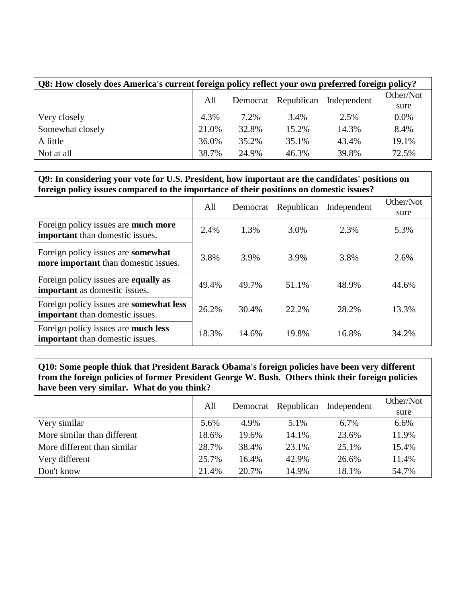| Q8: How closely does America's current foreign policy reflect your own preferred foreign policy? |       |                            |             |           |         |  |  |  |
|--------------------------------------------------------------------------------------------------|-------|----------------------------|-------------|-----------|---------|--|--|--|
|                                                                                                  |       | Democrat Republican<br>All | Independent | Other/Not |         |  |  |  |
|                                                                                                  |       |                            |             |           | sure    |  |  |  |
| Very closely                                                                                     | 4.3%  | 7.2%                       | 3.4%        | 2.5%      | $0.0\%$ |  |  |  |
| Somewhat closely                                                                                 | 21.0% | 32.8%                      | 15.2%       | 14.3%     | 8.4%    |  |  |  |
| A little                                                                                         | 36.0% | 35.2%                      | 35.1%       | 43.4%     | 19.1%   |  |  |  |
| Not at all                                                                                       | 38.7% | 24.9%                      | 46.3%       | 39.8%     | 72.5%   |  |  |  |

### **Q9: In considering your vote for U.S. President, how important are the candidates' positions on foreign policy issues compared to the importance of their positions on domestic issues?**

|                                                                                          | All   | Democrat | Republican | Independent | Other/Not<br>sure |
|------------------------------------------------------------------------------------------|-------|----------|------------|-------------|-------------------|
| Foreign policy issues are much more<br>important than domestic issues.                   | 2.4%  | 1.3%     | 3.0%       | 2.3%        | 5.3%              |
| Foreign policy issues are <b>somewhat</b><br>more important than domestic issues.        | 3.8%  | 3.9%     | 3.9%       | 3.8%        | 2.6%              |
| Foreign policy issues are <b>equally as</b><br>important as domestic issues.             | 49.4% | 49.7%    | 51.1%      | 48.9%       | 44.6%             |
| Foreign policy issues are <b>somewhat less</b><br><b>important</b> than domestic issues. | 26.2% | 30.4%    | 22.2%      | 28.2%       | 13.3%             |
| Foreign policy issues are much less<br><b>important</b> than domestic issues.            | 18.3% | 14.6%    | 19.8%      | 16.8%       | 34.2%             |

**Q10: Some people think that President Barack Obama's foreign policies have been very different from the foreign policies of former President George W. Bush. Others think their foreign policies have been very similar. What do you think?**

|                             | All   | Democrat Republican |       | Independent | Other/Not |
|-----------------------------|-------|---------------------|-------|-------------|-----------|
|                             |       |                     |       |             | sure      |
| Very similar                | 5.6%  | 4.9%                | 5.1%  | 6.7%        | 6.6%      |
| More similar than different | 18.6% | 19.6%               | 14.1% | 23.6%       | 11.9%     |
| More different than similar | 28.7% | 38.4%               | 23.1% | 25.1%       | 15.4%     |
| Very different              | 25.7% | 16.4%               | 42.9% | 26.6%       | 11.4%     |
| Don't know                  | 21.4% | 20.7%               | 14.9% | 18.1%       | 54.7%     |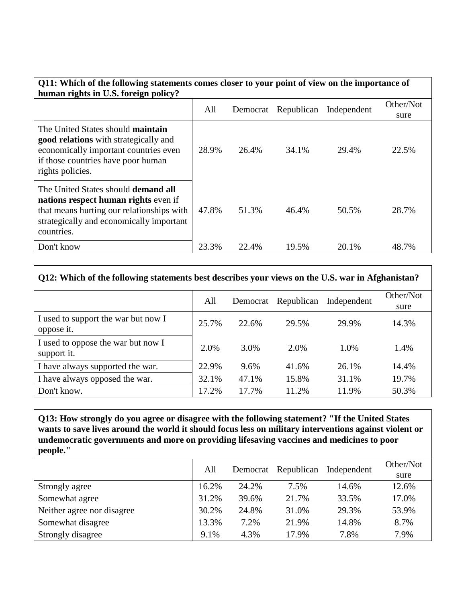| Q11: Which of the following statements comes closer to your point of view on the importance of<br>human rights in U.S. foreign policy?                                                      |       |          |            |             |                   |  |  |  |
|---------------------------------------------------------------------------------------------------------------------------------------------------------------------------------------------|-------|----------|------------|-------------|-------------------|--|--|--|
|                                                                                                                                                                                             | All   | Democrat | Republican | Independent | Other/Not<br>sure |  |  |  |
| The United States should <b>maintain</b><br><b>good relations</b> with strategically and<br>economically important countries even<br>if those countries have poor human<br>rights policies. | 28.9% | 26.4%    | 34.1%      | 29.4%       | 22.5%             |  |  |  |
| The United States should <b>demand all</b><br>nations respect human rights even if<br>that means hurting our relationships with<br>strategically and economically important<br>countries.   | 47.8% | 51.3%    | 46.4%      | 50.5%       | 28.7%             |  |  |  |
| Don't know                                                                                                                                                                                  | 23.3% | 22.4%    | 19.5%      | 20.1%       | 48.7%             |  |  |  |

| Q12: Which of the following statements best describes your views on the U.S. war in Afghanistan? |       |          |            |             |                   |  |  |  |
|--------------------------------------------------------------------------------------------------|-------|----------|------------|-------------|-------------------|--|--|--|
|                                                                                                  | All   | Democrat | Republican | Independent | Other/Not<br>sure |  |  |  |
| I used to support the war but now I<br>oppose it.                                                | 25.7% | 22.6%    | 29.5%      | 29.9%       | 14.3%             |  |  |  |
| I used to oppose the war but now I<br>support it.                                                | 2.0%  | 3.0%     | 2.0%       | 1.0%        | 1.4%              |  |  |  |
| I have always supported the war.                                                                 | 22.9% | 9.6%     | 41.6%      | 26.1%       | 14.4%             |  |  |  |
| I have always opposed the war.                                                                   | 32.1% | 47.1%    | 15.8%      | 31.1%       | 19.7%             |  |  |  |
| Don't know.                                                                                      | 17.2% | 17.7%    | 11.2%      | 11.9%       | 50.3%             |  |  |  |

٦

 $\Gamma$ 

**Q13: How strongly do you agree or disagree with the following statement? "If the United States**  wants to save lives around the world it should focus less on military interventions against violent or **undemocratic governments and more on providing lifesaving vaccines and medicines to poor people."**

|                            | All   | Democrat | Republican | Independent | Other/Not<br>sure |
|----------------------------|-------|----------|------------|-------------|-------------------|
| Strongly agree             | 16.2% | 24.2%    | 7.5%       | 14.6%       | 12.6%             |
| Somewhat agree             | 31.2% | 39.6%    | 21.7%      | 33.5%       | 17.0%             |
| Neither agree nor disagree | 30.2% | 24.8%    | 31.0%      | 29.3%       | 53.9%             |
| Somewhat disagree          | 13.3% | 7.2%     | 21.9%      | 14.8%       | 8.7%              |
| Strongly disagree          | 9.1%  | 4.3%     | 17.9%      | 7.8%        | 7.9%              |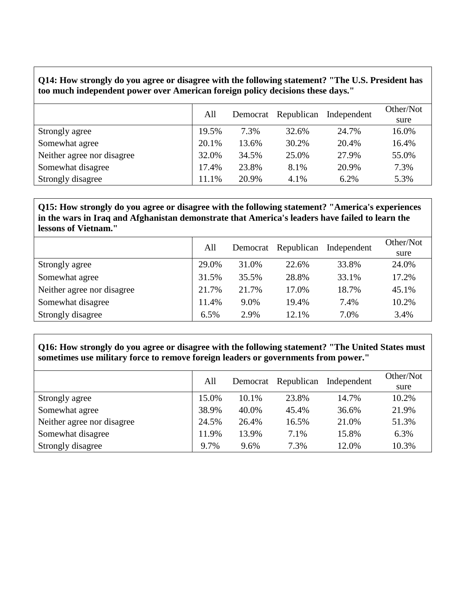#### **Q14: How strongly do you agree or disagree with the following statement? "The U.S. President has too much independent power over American foreign policy decisions these days."**

|                            | All   |       | Democrat Republican | Independent | Other/Not<br>sure |
|----------------------------|-------|-------|---------------------|-------------|-------------------|
| Strongly agree             | 19.5% | 7.3%  | 32.6%               | 24.7%       | 16.0%             |
| Somewhat agree             | 20.1% | 13.6% | 30.2%               | 20.4%       | 16.4%             |
| Neither agree nor disagree | 32.0% | 34.5% | 25.0%               | 27.9%       | 55.0%             |
| Somewhat disagree          | 17.4% | 23.8% | 8.1%                | 20.9%       | 7.3%              |
| Strongly disagree          | 11.1% | 20.9% | 4.1%                | 6.2%        | 5.3%              |

### **Q15: How strongly do you agree or disagree with the following statement? "America's experiences in the wars in Iraq and Afghanistan demonstrate that America's leaders have failed to learn the lessons of Vietnam."**

|                            | All   | Democrat | Republican | Independent | Other/Not |
|----------------------------|-------|----------|------------|-------------|-----------|
|                            |       |          |            |             | sure      |
| Strongly agree             | 29.0% | 31.0%    | 22.6%      | 33.8%       | 24.0%     |
| Somewhat agree             | 31.5% | 35.5%    | 28.8%      | 33.1%       | 17.2%     |
| Neither agree nor disagree | 21.7% | 21.7%    | 17.0%      | 18.7%       | 45.1%     |
| Somewhat disagree          | 11.4% | 9.0%     | 19.4%      | 7.4%        | 10.2%     |
| Strongly disagree          | 6.5%  | 2.9%     | 12.1%      | 7.0%        | 3.4%      |

#### **Q16: How strongly do you agree or disagree with the following statement? "The United States must sometimes use military force to remove foreign leaders or governments from power."**

|                            | All   | Democrat | Republican | Independent | Other/Not<br>sure |
|----------------------------|-------|----------|------------|-------------|-------------------|
| Strongly agree             | 15.0% | 10.1%    | 23.8%      | 14.7%       | 10.2%             |
| Somewhat agree             | 38.9% | 40.0%    | 45.4%      | 36.6%       | 21.9%             |
| Neither agree nor disagree | 24.5% | 26.4%    | 16.5%      | 21.0%       | 51.3%             |
| Somewhat disagree          | 11.9% | 13.9%    | 7.1%       | 15.8%       | 6.3%              |
| Strongly disagree          | 9.7%  | 9.6%     | 7.3%       | 12.0%       | 10.3%             |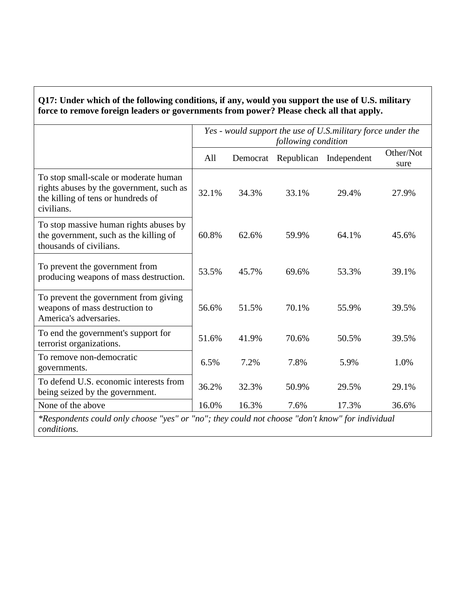# **Q17: Under which of the following conditions, if any, would you support the use of U.S. military force to remove foreign leaders or governments from power? Please check all that apply.**

|                                                                                                                                       | Yes - would support the use of U.S.military force under the<br>following condition |       |       |                                 |                   |  |
|---------------------------------------------------------------------------------------------------------------------------------------|------------------------------------------------------------------------------------|-------|-------|---------------------------------|-------------------|--|
|                                                                                                                                       | All                                                                                |       |       | Democrat Republican Independent | Other/Not<br>sure |  |
| To stop small-scale or moderate human<br>rights abuses by the government, such as<br>the killing of tens or hundreds of<br>civilians. | 32.1%                                                                              | 34.3% | 33.1% | 29.4%                           | 27.9%             |  |
| To stop massive human rights abuses by<br>the government, such as the killing of<br>thousands of civilians.                           | 60.8%                                                                              | 62.6% | 59.9% | 64.1%                           | 45.6%             |  |
| To prevent the government from<br>producing weapons of mass destruction.                                                              | 53.5%                                                                              | 45.7% | 69.6% | 53.3%                           | 39.1%             |  |
| To prevent the government from giving<br>weapons of mass destruction to<br>America's adversaries.                                     | 56.6%                                                                              | 51.5% | 70.1% | 55.9%                           | 39.5%             |  |
| To end the government's support for<br>terrorist organizations.                                                                       | 51.6%                                                                              | 41.9% | 70.6% | 50.5%                           | 39.5%             |  |
| To remove non-democratic<br>governments.                                                                                              | 6.5%                                                                               | 7.2%  | 7.8%  | 5.9%                            | 1.0%              |  |
| To defend U.S. economic interests from<br>being seized by the government.                                                             | 36.2%                                                                              | 32.3% | 50.9% | 29.5%                           | 29.1%             |  |
| None of the above                                                                                                                     | 16.0%                                                                              | 16.3% | 7.6%  | 17.3%                           | 36.6%             |  |
| *Respondents could only choose "yes" or "no"; they could not choose "don't know" for individual                                       |                                                                                    |       |       |                                 |                   |  |

*conditions.*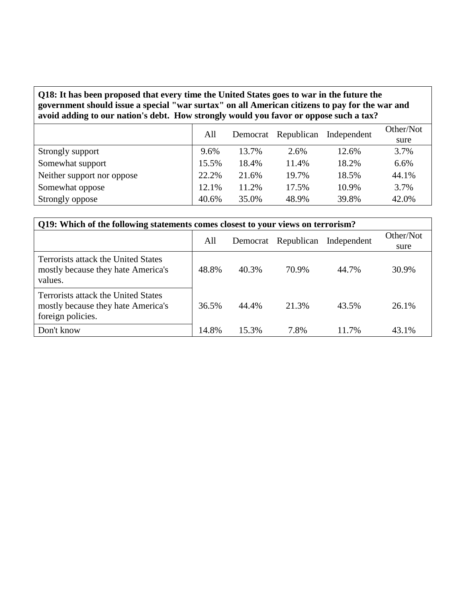### **Q18: It has been proposed that every time the United States goes to war in the future the government should issue a special "war surtax" on all American citizens to pay for the war and avoid adding to our nation's debt. How strongly would you favor or oppose such a tax?**

|                            | All   | Democrat Republican |       | Independent | Other/Not |
|----------------------------|-------|---------------------|-------|-------------|-----------|
|                            |       |                     |       |             | sure      |
| Strongly support           | 9.6%  | 13.7%               | 2.6%  | 12.6%       | 3.7%      |
| Somewhat support           | 15.5% | 18.4%               | 11.4% | 18.2%       | 6.6%      |
| Neither support nor oppose | 22.2% | 21.6%               | 19.7% | 18.5%       | 44.1%     |
| Somewhat oppose            | 12.1% | 11.2%               | 17.5% | 10.9%       | 3.7%      |
| Strongly oppose            | 40.6% | 35.0%               | 48.9% | 39.8%       | 42.0%     |

| Q19: Which of the following statements comes closest to your views on terrorism?               |       |       |                     |             |           |  |  |  |  |
|------------------------------------------------------------------------------------------------|-------|-------|---------------------|-------------|-----------|--|--|--|--|
|                                                                                                | All   |       | Democrat Republican | Independent | Other/Not |  |  |  |  |
|                                                                                                |       |       |                     |             | sure      |  |  |  |  |
| Terrorists attack the United States<br>mostly because they hate America's<br>values.           | 48.8% | 40.3% | 70.9%               | 44.7%       | 30.9%     |  |  |  |  |
| Terrorists attack the United States<br>mostly because they hate America's<br>foreign policies. | 36.5% | 44.4% | 21.3%               | 43.5%       | 26.1%     |  |  |  |  |
| Don't know                                                                                     | 14.8% | 15.3% | 7.8%                | 11.7%       | 43.1%     |  |  |  |  |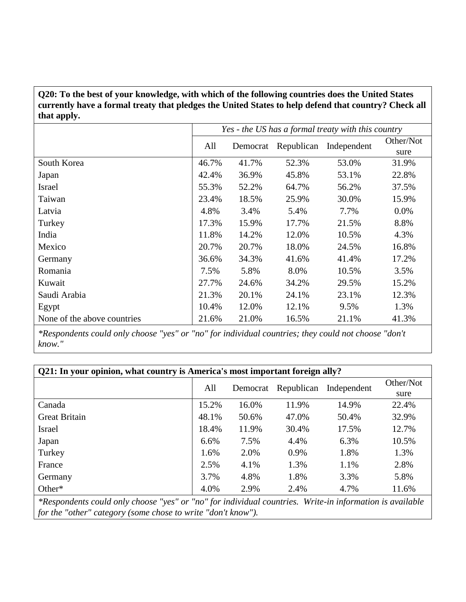**Q20: To the best of your knowledge, with which of the following countries does the United States currently have a formal treaty that pledges the United States to help defend that country? Check all that apply.**

|                             | Yes - the US has a formal treaty with this country |          |            |             |                   |  |
|-----------------------------|----------------------------------------------------|----------|------------|-------------|-------------------|--|
|                             | All                                                | Democrat | Republican | Independent | Other/Not<br>sure |  |
| South Korea                 | 46.7%                                              | 41.7%    | 52.3%      | 53.0%       | 31.9%             |  |
| Japan                       | 42.4%                                              | 36.9%    | 45.8%      | 53.1%       | 22.8%             |  |
| <b>Israel</b>               | 55.3%                                              | 52.2%    | 64.7%      | 56.2%       | 37.5%             |  |
| Taiwan                      | 23.4%                                              | 18.5%    | 25.9%      | 30.0%       | 15.9%             |  |
| Latvia                      | 4.8%                                               | 3.4%     | 5.4%       | 7.7%        | $0.0\%$           |  |
| Turkey                      | 17.3%                                              | 15.9%    | 17.7%      | 21.5%       | 8.8%              |  |
| India                       | 11.8%                                              | 14.2%    | 12.0%      | 10.5%       | 4.3%              |  |
| Mexico                      | 20.7%                                              | 20.7%    | 18.0%      | 24.5%       | 16.8%             |  |
| Germany                     | 36.6%                                              | 34.3%    | 41.6%      | 41.4%       | 17.2%             |  |
| Romania                     | 7.5%                                               | 5.8%     | 8.0%       | 10.5%       | 3.5%              |  |
| Kuwait                      | 27.7%                                              | 24.6%    | 34.2%      | 29.5%       | 15.2%             |  |
| Saudi Arabia                | 21.3%                                              | 20.1%    | 24.1%      | 23.1%       | 12.3%             |  |
| Egypt                       | 10.4%                                              | 12.0%    | 12.1%      | 9.5%        | 1.3%              |  |
| None of the above countries | 21.6%                                              | 21.0%    | 16.5%      | 21.1%       | 41.3%             |  |

*\*Respondents could only choose "yes" or "no" for individual countries; they could not choose "don't know."*

| Q21: In your opinion, what country is America's most important foreign ally?                             |         |          |            |             |           |  |  |  |
|----------------------------------------------------------------------------------------------------------|---------|----------|------------|-------------|-----------|--|--|--|
|                                                                                                          | All     | Democrat | Republican | Independent | Other/Not |  |  |  |
|                                                                                                          |         |          |            |             | sure      |  |  |  |
| Canada                                                                                                   | 15.2%   | 16.0%    | 11.9%      | 14.9%       | 22.4%     |  |  |  |
| <b>Great Britain</b>                                                                                     | 48.1%   | 50.6%    | 47.0%      | 50.4%       | 32.9%     |  |  |  |
| <b>Israel</b>                                                                                            | 18.4%   | 11.9%    | 30.4%      | 17.5%       | 12.7%     |  |  |  |
| Japan                                                                                                    | $6.6\%$ | 7.5%     | 4.4%       | 6.3%        | 10.5%     |  |  |  |
| Turkey                                                                                                   | 1.6%    | 2.0%     | 0.9%       | 1.8%        | 1.3%      |  |  |  |
| France                                                                                                   | 2.5%    | 4.1%     | 1.3%       | 1.1%        | 2.8%      |  |  |  |
| Germany                                                                                                  | 3.7%    | 4.8%     | 1.8%       | 3.3%        | 5.8%      |  |  |  |
| Other*                                                                                                   | 4.0%    | 2.9%     | 2.4%       | 4.7%        | 11.6%     |  |  |  |
| *Respondents could only choose "yes" or "no" for individual countries. Write-in information is available |         |          |            |             |           |  |  |  |
| for the "other" category (some chose to write "don't know").                                             |         |          |            |             |           |  |  |  |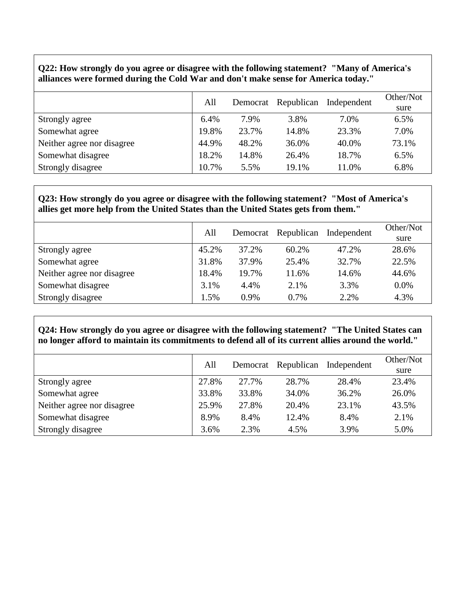#### **Q22: How strongly do you agree or disagree with the following statement? "Many of America's alliances were formed during the Cold War and don't make sense for America today."**

|                            | All   | Democrat | Republican | Independent | Other/Not<br>sure |
|----------------------------|-------|----------|------------|-------------|-------------------|
| Strongly agree             | 6.4%  | 7.9%     | 3.8%       | 7.0%        | 6.5%              |
| Somewhat agree             | 19.8% | 23.7%    | 14.8%      | 23.3%       | 7.0%              |
| Neither agree nor disagree | 44.9% | 48.2%    | 36.0%      | 40.0%       | 73.1%             |
| Somewhat disagree          | 18.2% | 14.8%    | 26.4%      | 18.7%       | 6.5%              |
| Strongly disagree          | 10.7% | 5.5%     | 19.1%      | 11.0%       | 6.8%              |

#### **Q23: How strongly do you agree or disagree with the following statement? "Most of America's allies get more help from the United States than the United States gets from them."**

|                            | All   | Democrat | Republican | Independent | Other/Not<br>sure |
|----------------------------|-------|----------|------------|-------------|-------------------|
| Strongly agree             | 45.2% | 37.2%    | 60.2%      | 47.2%       | 28.6%             |
| Somewhat agree             | 31.8% | 37.9%    | 25.4%      | 32.7%       | 22.5%             |
| Neither agree nor disagree | 18.4% | 19.7%    | 11.6%      | 14.6%       | 44.6%             |
| Somewhat disagree          | 3.1%  | 4.4%     | 2.1%       | 3.3%        | 0.0%              |
| Strongly disagree          | 1.5%  | 0.9%     | 0.7%       | 2.2%        | 4.3%              |

#### **Q24: How strongly do you agree or disagree with the following statement? "The United States can no longer afford to maintain its commitments to defend all of its current allies around the world."**

|                            | All   | Democrat | Republican | Independent | Other/Not<br>sure |
|----------------------------|-------|----------|------------|-------------|-------------------|
| Strongly agree             | 27.8% | 27.7%    | 28.7%      | 28.4%       | 23.4%             |
| Somewhat agree             | 33.8% | 33.8%    | 34.0%      | 36.2%       | 26.0%             |
| Neither agree nor disagree | 25.9% | 27.8%    | 20.4%      | 23.1%       | 43.5%             |
| Somewhat disagree          | 8.9%  | 8.4%     | 12.4%      | 8.4%        | 2.1%              |
| Strongly disagree          | 3.6%  | 2.3%     | 4.5%       | 3.9%        | 5.0%              |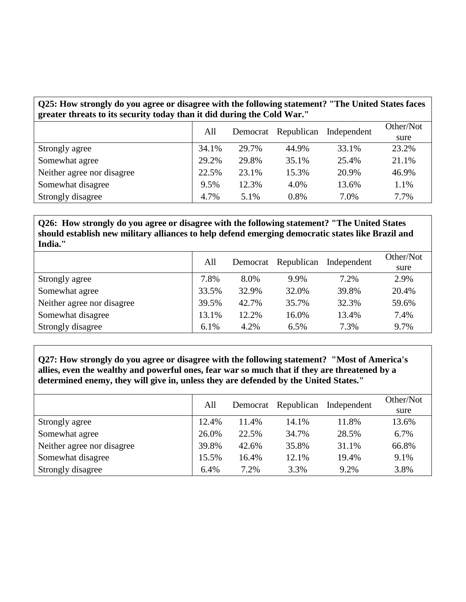# **Q25: How strongly do you agree or disagree with the following statement? "The United States faces greater threats to its security today than it did during the Cold War."**

|                            | All   | Democrat | Republican | Independent | Other/Not |
|----------------------------|-------|----------|------------|-------------|-----------|
|                            |       |          |            |             | sure      |
| Strongly agree             | 34.1% | 29.7%    | 44.9%      | 33.1%       | 23.2%     |
| Somewhat agree             | 29.2% | 29.8%    | 35.1%      | 25.4%       | 21.1%     |
| Neither agree nor disagree | 22.5% | 23.1%    | 15.3%      | 20.9%       | 46.9%     |
| Somewhat disagree          | 9.5%  | 12.3%    | 4.0%       | 13.6%       | 1.1%      |
| Strongly disagree          | 4.7%  | 5.1%     | 0.8%       | 7.0%        | 7.7%      |

**Q26: How strongly do you agree or disagree with the following statement? "The United States should establish new military alliances to help defend emerging democratic states like Brazil and India."**

|                            | All   | Democrat | Republican | Independent | Other/Not |
|----------------------------|-------|----------|------------|-------------|-----------|
|                            |       |          |            |             | sure      |
| Strongly agree             | 7.8%  | 8.0%     | 9.9%       | 7.2%        | 2.9%      |
| Somewhat agree             | 33.5% | 32.9%    | 32.0%      | 39.8%       | 20.4%     |
| Neither agree nor disagree | 39.5% | 42.7%    | 35.7%      | 32.3%       | 59.6%     |
| Somewhat disagree          | 13.1% | 12.2%    | 16.0%      | 13.4%       | 7.4%      |
| Strongly disagree          | 6.1%  | 4.2%     | 6.5%       | 7.3%        | 9.7%      |

**Q27: How strongly do you agree or disagree with the following statement? "Most of America's allies, even the wealthy and powerful ones, fear war so much that if they are threatened by a determined enemy, they will give in, unless they are defended by the United States."**

|                            | All   | Democrat | Republican | Independent | Other/Not<br>sure |
|----------------------------|-------|----------|------------|-------------|-------------------|
| Strongly agree             | 12.4% | 11.4%    | 14.1%      | 11.8%       | 13.6%             |
| Somewhat agree             | 26.0% | 22.5%    | 34.7%      | 28.5%       | 6.7%              |
| Neither agree nor disagree | 39.8% | 42.6%    | 35.8%      | 31.1%       | 66.8%             |
| Somewhat disagree          | 15.5% | 16.4%    | 12.1%      | 19.4%       | 9.1%              |
| Strongly disagree          | 6.4%  | 7.2%     | 3.3%       | 9.2%        | 3.8%              |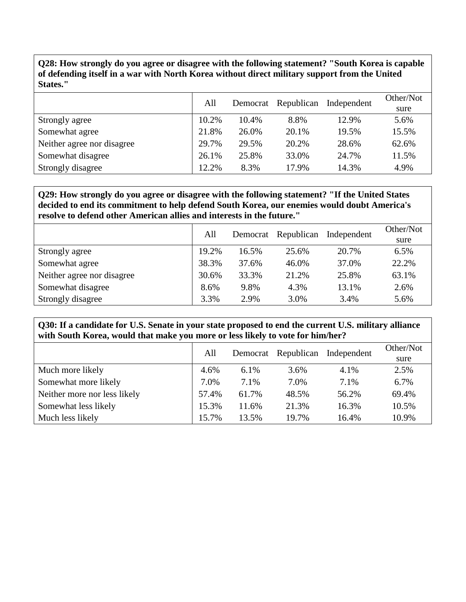**Q28: How strongly do you agree or disagree with the following statement? "South Korea is capable of defending itself in a war with North Korea without direct military support from the United States."**

|                            | All   | Democrat | Republican | Independent | Other/Not |
|----------------------------|-------|----------|------------|-------------|-----------|
|                            |       |          |            |             | sure      |
| Strongly agree             | 10.2% | 10.4%    | 8.8%       | 12.9%       | 5.6%      |
| Somewhat agree             | 21.8% | 26.0%    | 20.1%      | 19.5%       | 15.5%     |
| Neither agree nor disagree | 29.7% | 29.5%    | 20.2%      | 28.6%       | 62.6%     |
| Somewhat disagree          | 26.1% | 25.8%    | 33.0%      | 24.7%       | 11.5%     |
| Strongly disagree          | 12.2% | 8.3%     | 17.9%      | 14.3%       | 4.9%      |

**Q29: How strongly do you agree or disagree with the following statement? "If the United States decided to end its commitment to help defend South Korea, our enemies would doubt America's resolve to defend other American allies and interests in the future."**

|                            | All   |       | Democrat Republican | Independent | Other/Not |
|----------------------------|-------|-------|---------------------|-------------|-----------|
|                            |       |       |                     |             | sure      |
| Strongly agree             | 19.2% | 16.5% | 25.6%               | 20.7%       | 6.5%      |
| Somewhat agree             | 38.3% | 37.6% | 46.0%               | 37.0%       | 22.2%     |
| Neither agree nor disagree | 30.6% | 33.3% | 21.2%               | 25.8%       | 63.1%     |
| Somewhat disagree          | 8.6%  | 9.8%  | 4.3%                | 13.1%       | 2.6%      |
| Strongly disagree          | 3.3%  | 2.9%  | 3.0%                | 3.4%        | 5.6%      |

**Q30: If a candidate for U.S. Senate in your state proposed to end the current U.S. military alliance with South Korea, would that make you more or less likely to vote for him/her?**

|                              | All   |       | Democrat Republican | Independent | Other/Not<br>sure |
|------------------------------|-------|-------|---------------------|-------------|-------------------|
| Much more likely             | 4.6%  | 6.1%  | 3.6%                | 4.1%        | 2.5%              |
| Somewhat more likely         | 7.0%  | 7.1%  | 7.0%                | 7.1%        | 6.7%              |
| Neither more nor less likely | 57.4% | 61.7% | 48.5%               | 56.2%       | 69.4%             |
| Somewhat less likely         | 15.3% | 11.6% | 21.3%               | 16.3%       | 10.5%             |
| Much less likely             | 15.7% | 13.5% | 19.7%               | 16.4%       | 10.9%             |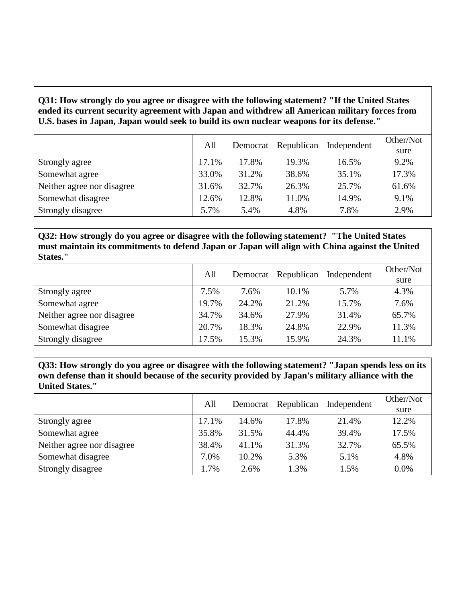**Q31: How strongly do you agree or disagree with the following statement? "If the United States ended its current security agreement with Japan and withdrew all American military forces from U.S. bases in Japan, Japan would seek to build its own nuclear weapons for its defense."**

|                            | All   |       | Democrat Republican | Independent | Other/Not |
|----------------------------|-------|-------|---------------------|-------------|-----------|
|                            |       |       |                     |             | sure      |
| Strongly agree             | 17.1% | 17.8% | 19.3%               | 16.5%       | 9.2%      |
| Somewhat agree             | 33.0% | 31.2% | 38.6%               | 35.1%       | 17.3%     |
| Neither agree nor disagree | 31.6% | 32.7% | 26.3%               | 25.7%       | 61.6%     |
| Somewhat disagree          | 12.6% | 12.8% | 11.0%               | 14.9%       | 9.1%      |
| Strongly disagree          | 5.7%  | 5.4%  | 4.8%                | 7.8%        | 2.9%      |

**Q32: How strongly do you agree or disagree with the following statement? "The United States must maintain its commitments to defend Japan or Japan will align with China against the United States."**

|                            | All   |       | Democrat Republican | Independent | Other/Not |
|----------------------------|-------|-------|---------------------|-------------|-----------|
|                            |       |       |                     |             | sure      |
| Strongly agree             | 7.5%  | 7.6%  | 10.1%               | 5.7%        | 4.3%      |
| Somewhat agree             | 19.7% | 24.2% | 21.2%               | 15.7%       | 7.6%      |
| Neither agree nor disagree | 34.7% | 34.6% | 27.9%               | 31.4%       | 65.7%     |
| Somewhat disagree          | 20.7% | 18.3% | 24.8%               | 22.9%       | 11.3%     |
| Strongly disagree          | 17.5% | 15.3% | 15.9%               | 24.3%       | 11.1%     |

**Q33: How strongly do you agree or disagree with the following statement? "Japan spends less on its own defense than it should because of the security provided by Japan's military alliance with the United States."**

|                            | All    |       | Democrat Republican | Independent | Other/Not |
|----------------------------|--------|-------|---------------------|-------------|-----------|
|                            |        |       |                     |             | sure      |
| Strongly agree             | 17.1%  | 14.6% | 17.8%               | 21.4%       | 12.2%     |
| Somewhat agree             | 35.8%  | 31.5% | 44.4%               | 39.4%       | 17.5%     |
| Neither agree nor disagree | 38.4%  | 41.1% | 31.3%               | 32.7%       | 65.5%     |
| Somewhat disagree          | 7.0%   | 10.2% | 5.3%                | 5.1%        | 4.8%      |
| Strongly disagree          | $.7\%$ | 2.6%  | 1.3%                | 1.5%        | 0.0%      |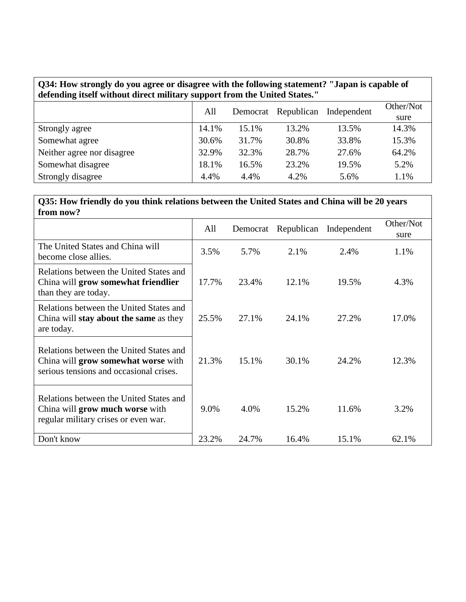| Q34: How strongly do you agree or disagree with the following statement? "Japan is capable of |  |
|-----------------------------------------------------------------------------------------------|--|
| defending itself without direct military support from the United States."                     |  |

|                            | All   | Democrat | Republican | Independent | Other/Not<br>sure |
|----------------------------|-------|----------|------------|-------------|-------------------|
| Strongly agree             | 14.1% | 15.1%    | 13.2%      | 13.5%       | 14.3%             |
| Somewhat agree             | 30.6% | 31.7%    | 30.8%      | 33.8%       | 15.3%             |
| Neither agree nor disagree | 32.9% | 32.3%    | 28.7%      | 27.6%       | 64.2%             |
| Somewhat disagree          | 18.1% | 16.5%    | 23.2%      | 19.5%       | 5.2%              |
| Strongly disagree          | 4.4%  | 4.4%     | 4.2%       | 5.6%        | 1.1%              |

#### **Q35: How friendly do you think relations between the United States and China will be 20 years from now?**

|                                                                                                                           | All   | Democrat | Republican | Independent | Other/Not<br>sure |
|---------------------------------------------------------------------------------------------------------------------------|-------|----------|------------|-------------|-------------------|
| The United States and China will<br>become close allies.                                                                  | 3.5%  | 5.7%     | 2.1%       | 2.4%        | 1.1%              |
| Relations between the United States and<br>China will grow somewhat friendlier<br>than they are today.                    | 17.7% | 23.4%    | 12.1%      | 19.5%       | 4.3%              |
| Relations between the United States and<br>China will <b>stay about the same</b> as they<br>are today.                    | 25.5% | 27.1%    | 24.1%      | 27.2%       | 17.0%             |
| Relations between the United States and<br>China will grow somewhat worse with<br>serious tensions and occasional crises. | 21.3% | 15.1%    | 30.1%      | 24.2%       | 12.3%             |
| Relations between the United States and<br>China will grow much worse with<br>regular military crises or even war.        | 9.0%  | 4.0%     | 15.2%      | 11.6%       | 3.2%              |
| Don't know                                                                                                                | 23.2% | 24.7%    | 16.4%      | 15.1%       | 62.1%             |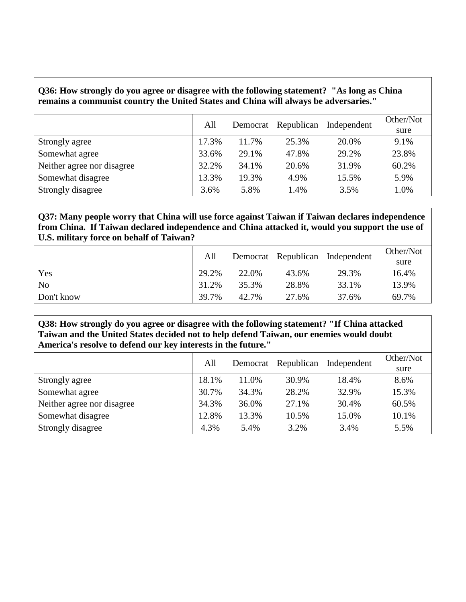#### **Q36: How strongly do you agree or disagree with the following statement? "As long as China remains a communist country the United States and China will always be adversaries."**

|                            | All   | Democrat | Republican | Independent | Other/Not<br>sure |
|----------------------------|-------|----------|------------|-------------|-------------------|
| Strongly agree             | 17.3% | 11.7%    | 25.3%      | 20.0%       | 9.1%              |
| Somewhat agree             | 33.6% | 29.1%    | 47.8%      | 29.2%       | 23.8%             |
| Neither agree nor disagree | 32.2% | 34.1%    | 20.6%      | 31.9%       | 60.2%             |
| Somewhat disagree          | 13.3% | 19.3%    | 4.9%       | 15.5%       | 5.9%              |
| Strongly disagree          | 3.6%  | 5.8%     | 1.4%       | 3.5%        | 1.0%              |

**Q37: Many people worry that China will use force against Taiwan if Taiwan declares independence from China. If Taiwan declared independence and China attacked it, would you support the use of U.S. military force on behalf of Taiwan?**

|                | All   |       |       | Democrat Republican Independent | Other/Not<br>sure |
|----------------|-------|-------|-------|---------------------------------|-------------------|
| Yes            | 29.2% | 22.0% | 43.6% | 29.3%                           | 16.4%             |
| N <sub>o</sub> | 31.2% | 35.3% | 28.8% | 33.1%                           | 13.9%             |
| Don't know     | 39.7% | 42.7% | 27.6% | 37.6%                           | 69.7%             |

**Q38: How strongly do you agree or disagree with the following statement? "If China attacked Taiwan and the United States decided not to help defend Taiwan, our enemies would doubt America's resolve to defend our key interests in the future."**

|                            | All   | Democrat | Republican | Independent | Other/Not<br>sure |
|----------------------------|-------|----------|------------|-------------|-------------------|
| Strongly agree             | 18.1% | 11.0%    | 30.9%      | 18.4%       | 8.6%              |
| Somewhat agree             | 30.7% | 34.3%    | 28.2%      | 32.9%       | 15.3%             |
| Neither agree nor disagree | 34.3% | 36.0%    | 27.1%      | 30.4%       | 60.5%             |
| Somewhat disagree          | 12.8% | 13.3%    | 10.5%      | 15.0%       | 10.1%             |
| Strongly disagree          | 4.3%  | 5.4%     | 3.2%       | 3.4%        | 5.5%              |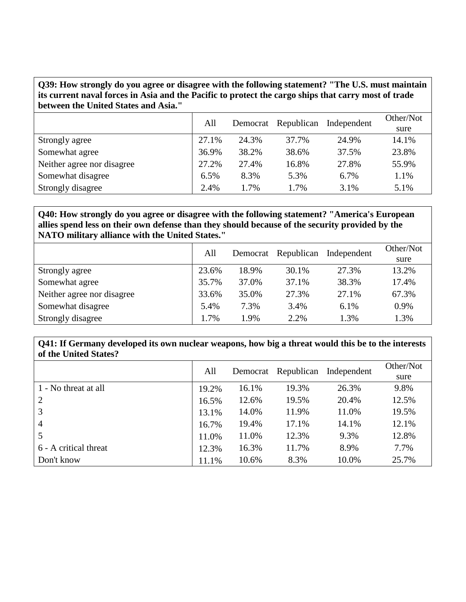**Q39: How strongly do you agree or disagree with the following statement? "The U.S. must maintain its current naval forces in Asia and the Pacific to protect the cargo ships that carry most of trade between the United States and Asia."**

|                            | All   | Democrat | Republican | Independent | Other/Not |
|----------------------------|-------|----------|------------|-------------|-----------|
|                            |       |          |            |             | sure      |
| Strongly agree             | 27.1% | 24.3%    | 37.7%      | 24.9%       | 14.1%     |
| Somewhat agree             | 36.9% | 38.2%    | 38.6%      | 37.5%       | 23.8%     |
| Neither agree nor disagree | 27.2% | 27.4%    | 16.8%      | 27.8%       | 55.9%     |
| Somewhat disagree          | 6.5%  | 8.3%     | 5.3%       | 6.7%        | 1.1%      |
| Strongly disagree          | 2.4%  | 1.7%     | 1.7%       | 3.1%        | 5.1%      |

### **Q40: How strongly do you agree or disagree with the following statement? "America's European allies spend less on their own defense than they should because of the security provided by the NATO military alliance with the United States."**

|                            | All<br>Democrat Republican |       |       | Independent | Other/Not |
|----------------------------|----------------------------|-------|-------|-------------|-----------|
|                            |                            |       |       | sure        |           |
| Strongly agree             | 23.6%                      | 18.9% | 30.1% | 27.3%       | 13.2%     |
| Somewhat agree             | 35.7%                      | 37.0% | 37.1% | 38.3%       | 17.4%     |
| Neither agree nor disagree | 33.6%                      | 35.0% | 27.3% | 27.1%       | 67.3%     |
| Somewhat disagree          | 5.4%                       | 7.3%  | 3.4%  | 6.1%        | 0.9%      |
| Strongly disagree          | 1.7%                       | 1.9%  | 2.2%  | 1.3%        | 1.3%      |

#### **Q41: If Germany developed its own nuclear weapons, how big a threat would this be to the interests of the United States?**

|                       | All   | Democrat | Republican | Independent | Other/Not<br>sure |
|-----------------------|-------|----------|------------|-------------|-------------------|
| 1 - No threat at all  | 19.2% | 16.1%    | 19.3%      | 26.3%       | 9.8%              |
| 2                     | 16.5% | 12.6%    | 19.5%      | 20.4%       | 12.5%             |
| 3                     | 13.1% | 14.0%    | 11.9%      | 11.0%       | 19.5%             |
| $\overline{4}$        | 16.7% | 19.4%    | 17.1%      | 14.1%       | 12.1%             |
|                       | 11.0% | 11.0%    | 12.3%      | 9.3%        | 12.8%             |
| 6 - A critical threat | 12.3% | 16.3%    | 11.7%      | 8.9%        | 7.7%              |
| Don't know            | 11.1% | 10.6%    | 8.3%       | 10.0%       | 25.7%             |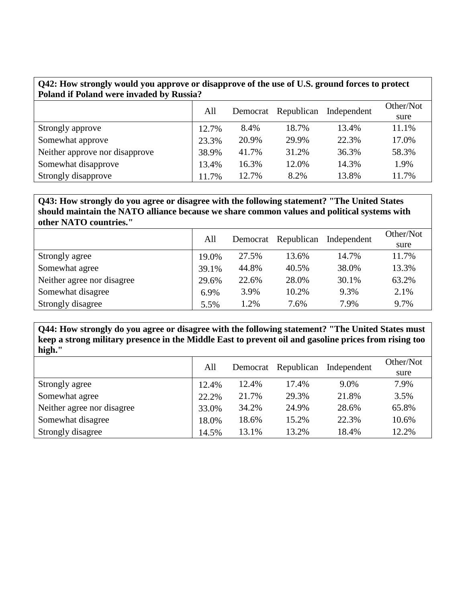| Q42: How strongly would you approve or disapprove of the use of U.S. ground forces to protect<br>Poland if Poland were invaded by Russia? |       |          |            |             |                   |  |  |  |  |
|-------------------------------------------------------------------------------------------------------------------------------------------|-------|----------|------------|-------------|-------------------|--|--|--|--|
|                                                                                                                                           | All   | Democrat | Republican | Independent | Other/Not<br>sure |  |  |  |  |
| Strongly approve                                                                                                                          | 12.7% | 8.4%     | 18.7%      | 13.4%       | 11.1%             |  |  |  |  |
| Somewhat approve                                                                                                                          | 23.3% | 20.9%    | 29.9%      | 22.3%       | 17.0%             |  |  |  |  |
| Neither approve nor disapprove                                                                                                            | 38.9% | 41.7%    | 31.2%      | 36.3%       | 58.3%             |  |  |  |  |
| Somewhat disapprove                                                                                                                       | 13.4% | 16.3%    | 12.0%      | 14.3%       | 1.9%              |  |  |  |  |
| Strongly disapprove                                                                                                                       | 11.7% | 12.7%    | 8.2%       | 13.8%       | 11.7%             |  |  |  |  |

#### **Q43: How strongly do you agree or disagree with the following statement? "The United States should maintain the NATO alliance because we share common values and political systems with other NATO countries."**

|                            | All   |       | Democrat Republican | Independent | Other/Not |
|----------------------------|-------|-------|---------------------|-------------|-----------|
|                            |       |       |                     |             | sure      |
| Strongly agree             | 19.0% | 27.5% | 13.6%               | 14.7%       | 11.7%     |
| Somewhat agree             | 39.1% | 44.8% | 40.5%               | 38.0%       | 13.3%     |
| Neither agree nor disagree | 29.6% | 22.6% | 28.0%               | 30.1%       | 63.2%     |
| Somewhat disagree          | 6.9%  | 3.9%  | 10.2%               | 9.3%        | 2.1%      |
| Strongly disagree          | 5.5%  | 1.2%  | 7.6%                | 7.9%        | 9.7%      |

**Q44: How strongly do you agree or disagree with the following statement? "The United States must keep a strong military presence in the Middle East to prevent oil and gasoline prices from rising too high."**

|                            | All   | Democrat | Republican | Independent | Other/Not<br>sure |
|----------------------------|-------|----------|------------|-------------|-------------------|
| Strongly agree             | 12.4% | 12.4%    | 17.4%      | 9.0%        | 7.9%              |
| Somewhat agree             | 22.2% | 21.7%    | 29.3%      | 21.8%       | 3.5%              |
| Neither agree nor disagree | 33.0% | 34.2%    | 24.9%      | 28.6%       | 65.8%             |
| Somewhat disagree          | 18.0% | 18.6%    | 15.2%      | 22.3%       | 10.6%             |
| Strongly disagree          | 14.5% | 13.1%    | 13.2%      | 18.4%       | 12.2%             |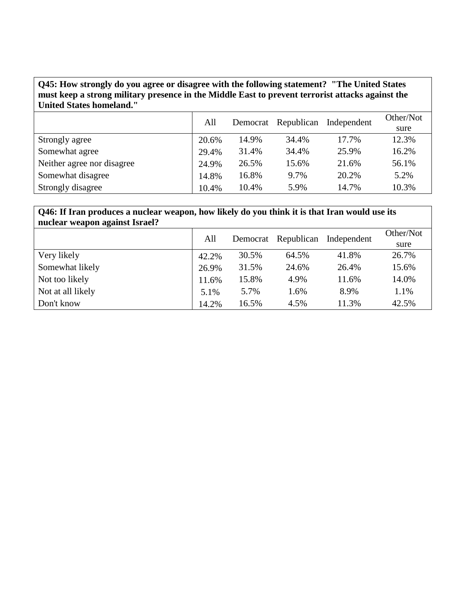## **Q45: How strongly do you agree or disagree with the following statement? "The United States must keep a strong military presence in the Middle East to prevent terrorist attacks against the United States homeland."**

|                            | All<br>Democrat | Republican | Independent | Other/Not |       |
|----------------------------|-----------------|------------|-------------|-----------|-------|
|                            |                 |            |             |           | sure  |
| Strongly agree             | 20.6%           | 14.9%      | 34.4%       | 17.7%     | 12.3% |
| Somewhat agree             | 29.4%           | 31.4%      | 34.4%       | 25.9%     | 16.2% |
| Neither agree nor disagree | 24.9%           | 26.5%      | 15.6%       | 21.6%     | 56.1% |
| Somewhat disagree          | 14.8%           | 16.8%      | 9.7%        | 20.2%     | 5.2%  |
| Strongly disagree          | 10.4%           | 10.4%      | 5.9%        | 14.7%     | 10.3% |

#### **Q46: If Iran produces a nuclear weapon, how likely do you think it is that Iran would use its nuclear weapon against Israel?**

| nuclear weapon against foract. |       |          |            |             |                   |
|--------------------------------|-------|----------|------------|-------------|-------------------|
|                                | All   | Democrat | Republican | Independent | Other/Not<br>sure |
| Very likely                    | 42.2% | 30.5%    | 64.5%      | 41.8%       | 26.7%             |
| Somewhat likely                | 26.9% | 31.5%    | 24.6%      | 26.4%       | 15.6%             |
| Not too likely                 | 11.6% | 15.8%    | 4.9%       | 11.6%       | 14.0%             |
| Not at all likely              | 5.1%  | 5.7%     | 1.6%       | 8.9%        | 1.1%              |
| Don't know                     | 14.2% | 16.5%    | 4.5%       | 11.3%       | 42.5%             |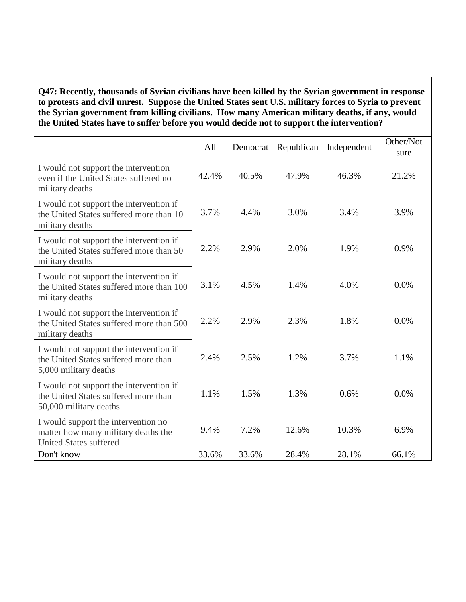#### **Q47: Recently, thousands of Syrian civilians have been killed by the Syrian government in response to protests and civil unrest. Suppose the United States sent U.S. military forces to Syria to prevent the Syrian government from killing civilians. How many American military deaths, if any, would the United States have to suffer before you would decide not to support the intervention?**

|                                                                                                             | All   | Democrat | Republican | Independent | Other/Not<br>sure |
|-------------------------------------------------------------------------------------------------------------|-------|----------|------------|-------------|-------------------|
| I would not support the intervention<br>even if the United States suffered no<br>military deaths            | 42.4% | 40.5%    | 47.9%      | 46.3%       | 21.2%             |
| I would not support the intervention if<br>the United States suffered more than 10<br>military deaths       | 3.7%  | 4.4%     | 3.0%       | 3.4%        | 3.9%              |
| I would not support the intervention if<br>the United States suffered more than 50<br>military deaths       | 2.2%  | 2.9%     | 2.0%       | 1.9%        | 0.9%              |
| I would not support the intervention if<br>the United States suffered more than 100<br>military deaths      | 3.1%  | 4.5%     | 1.4%       | 4.0%        | 0.0%              |
| I would not support the intervention if<br>the United States suffered more than 500<br>military deaths      | 2.2%  | 2.9%     | 2.3%       | 1.8%        | 0.0%              |
| I would not support the intervention if<br>the United States suffered more than<br>5,000 military deaths    | 2.4%  | 2.5%     | 1.2%       | 3.7%        | 1.1%              |
| I would not support the intervention if<br>the United States suffered more than<br>50,000 military deaths   | 1.1%  | 1.5%     | 1.3%       | 0.6%        | 0.0%              |
| I would support the intervention no<br>matter how many military deaths the<br><b>United States suffered</b> | 9.4%  | 7.2%     | 12.6%      | 10.3%       | 6.9%              |
| Don't know                                                                                                  | 33.6% | 33.6%    | 28.4%      | 28.1%       | 66.1%             |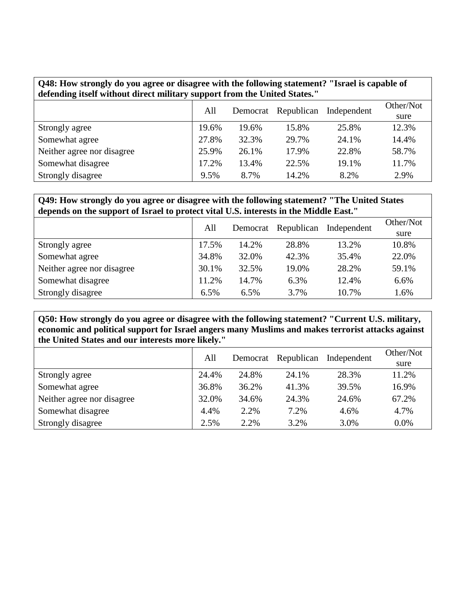| Q48: How strongly do you agree or disagree with the following statement? "Israel is capable of<br>defending itself without direct military support from the United States." |       |           |            |             |       |  |  |  |
|-----------------------------------------------------------------------------------------------------------------------------------------------------------------------------|-------|-----------|------------|-------------|-------|--|--|--|
|                                                                                                                                                                             | All   | Other/Not |            |             |       |  |  |  |
|                                                                                                                                                                             |       | Democrat  | Republican | Independent | sure  |  |  |  |
| Strongly agree                                                                                                                                                              | 19.6% | 19.6%     | 15.8%      | 25.8%       | 12.3% |  |  |  |
| Somewhat agree                                                                                                                                                              | 27.8% | 32.3%     | 29.7%      | 24.1%       | 14.4% |  |  |  |
| Neither agree nor disagree                                                                                                                                                  | 25.9% | 26.1%     | 17.9%      | 22.8%       | 58.7% |  |  |  |
| Somewhat disagree                                                                                                                                                           | 17.2% | 13.4%     | 22.5%      | 19.1%       | 11.7% |  |  |  |
| Strongly disagree                                                                                                                                                           | 9.5%  | 8.7%      | 14.2%      | 8.2%        | 2.9%  |  |  |  |

**Q49: How strongly do you agree or disagree with the following statement? "The United States depends on the support of Israel to protect vital U.S. interests in the Middle East."**

|                            | All   | Democrat | Republican | Independent | Other/Not |
|----------------------------|-------|----------|------------|-------------|-----------|
|                            |       |          |            |             | sure      |
| Strongly agree             | 17.5% | 14.2%    | 28.8%      | 13.2%       | 10.8%     |
| Somewhat agree             | 34.8% | 32.0%    | 42.3%      | 35.4%       | 22.0%     |
| Neither agree nor disagree | 30.1% | 32.5%    | 19.0%      | 28.2%       | 59.1%     |
| Somewhat disagree          | 11.2% | 14.7%    | 6.3%       | 12.4%       | 6.6%      |
| Strongly disagree          | 6.5%  | 6.5%     | 3.7%       | 10.7%       | 1.6%      |

**Q50: How strongly do you agree or disagree with the following statement? "Current U.S. military, economic and political support for Israel angers many Muslims and makes terrorist attacks against the United States and our interests more likely."**

|                            | All   | Democrat | Republican | Independent | Other/Not<br>sure |
|----------------------------|-------|----------|------------|-------------|-------------------|
| Strongly agree             | 24.4% | 24.8%    | 24.1%      | 28.3%       | 11.2%             |
| Somewhat agree             | 36.8% | 36.2%    | 41.3%      | 39.5%       | 16.9%             |
| Neither agree nor disagree | 32.0% | 34.6%    | 24.3%      | 24.6%       | 67.2%             |
| Somewhat disagree          | 4.4%  | 2.2%     | 7.2%       | 4.6%        | 4.7%              |
| Strongly disagree          | 2.5%  | 2.2%     | 3.2%       | 3.0%        | $0.0\%$           |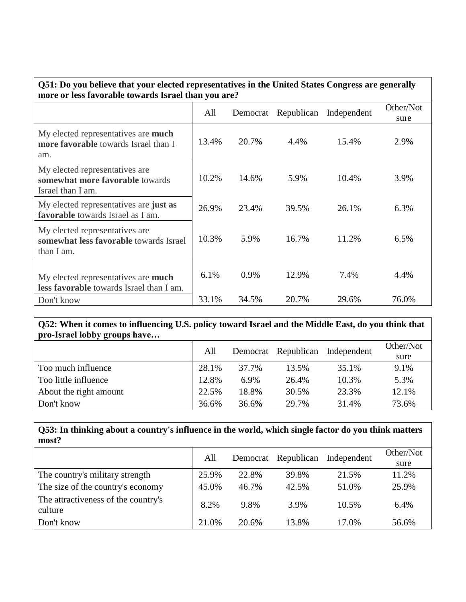| Q51: Do you believe that your elected representatives in the United States Congress are generally<br>more or less favorable towards Israel than you are? |       |          |            |             |                   |  |  |  |
|----------------------------------------------------------------------------------------------------------------------------------------------------------|-------|----------|------------|-------------|-------------------|--|--|--|
|                                                                                                                                                          | All   | Democrat | Republican | Independent | Other/Not<br>sure |  |  |  |
| My elected representatives are much<br>more favorable towards Israel than I<br>am.                                                                       | 13.4% | 20.7%    | 4.4%       | 15.4%       | 2.9%              |  |  |  |
| My elected representatives are<br>somewhat more favorable towards<br>Israel than I am.                                                                   | 10.2% | 14.6%    | 5.9%       | 10.4%       | 3.9%              |  |  |  |
| My elected representatives are just as<br>favorable towards Israel as I am.                                                                              | 26.9% | 23.4%    | 39.5%      | 26.1%       | 6.3%              |  |  |  |
| My elected representatives are.<br>somewhat less favorable towards Israel<br>than I am.                                                                  | 10.3% | 5.9%     | 16.7%      | 11.2%       | 6.5%              |  |  |  |
| My elected representatives are <b>much</b><br>less favorable towards Israel than I am.                                                                   | 6.1%  | 0.9%     | 12.9%      | 7.4%        | 4.4%              |  |  |  |
| Don't know                                                                                                                                               | 33.1% | 34.5%    | 20.7%      | 29.6%       | 76.0%             |  |  |  |

#### **Q52: When it comes to influencing U.S. policy toward Israel and the Middle East, do you think that pro-Israel lobby groups have…**

|                        | All   |       | Democrat Republican | Independent | Other/Not<br>sure |
|------------------------|-------|-------|---------------------|-------------|-------------------|
| Too much influence     | 28.1% | 37.7% | 13.5%               | 35.1%       | 9.1%              |
| Too little influence   | 12.8% | 6.9%  | 26.4%               | 10.3%       | 5.3%              |
| About the right amount | 22.5% | 18.8% | 30.5%               | 23.3%       | 12.1%             |
| Don't know             | 36.6% | 36.6% | 29.7%               | 31.4%       | 73.6%             |

# **Q53: In thinking about a country's influence in the world, which single factor do you think matters most?**

|                                                | All   | Democrat | Republican | Independent | Other/Not<br>sure |
|------------------------------------------------|-------|----------|------------|-------------|-------------------|
| The country's military strength                | 25.9% | 22.8%    | 39.8%      | 21.5%       | 11.2%             |
| The size of the country's economy              | 45.0% | 46.7%    | 42.5%      | 51.0%       | 25.9%             |
| The attractiveness of the country's<br>culture | 8.2%  | 9.8%     | 3.9%       | 10.5%       | 6.4%              |
| Don't know                                     | 21.0% | 20.6%    | 13.8%      | 17.0%       | 56.6%             |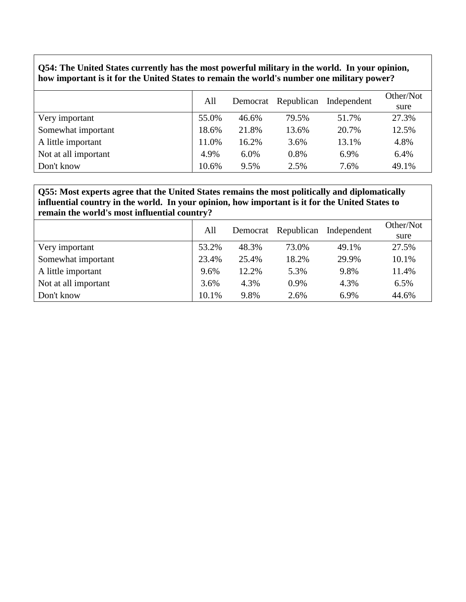## **Q54: The United States currently has the most powerful military in the world. In your opinion, how important is it for the United States to remain the world's number one military power?**

|                      | All   | Democrat | Republican | Independent | Other/Not<br>sure |
|----------------------|-------|----------|------------|-------------|-------------------|
| Very important       | 55.0% | 46.6%    | 79.5%      | 51.7%       | 27.3%             |
| Somewhat important   | 18.6% | 21.8%    | 13.6%      | 20.7%       | 12.5%             |
| A little important   | 11.0% | 16.2%    | 3.6%       | 13.1%       | 4.8%              |
| Not at all important | 4.9%  | 6.0%     | 0.8%       | 6.9%        | 6.4%              |
| Don't know           | 10.6% | 9.5%     | 2.5%       | 7.6%        | 49.1%             |

### **Q55: Most experts agree that the United States remains the most politically and diplomatically influential country in the world. In your opinion, how important is it for the United States to remain the world's most influential country?**

|                      | All   | Democrat | Republican | Independent | Other/Not |
|----------------------|-------|----------|------------|-------------|-----------|
|                      |       |          |            |             | sure      |
| Very important       | 53.2% | 48.3%    | 73.0%      | 49.1%       | 27.5%     |
| Somewhat important   | 23.4% | 25.4%    | 18.2%      | 29.9%       | 10.1%     |
| A little important   | 9.6%  | 12.2%    | 5.3%       | 9.8%        | 11.4%     |
| Not at all important | 3.6%  | 4.3%     | 0.9%       | 4.3%        | 6.5%      |
| Don't know           | 10.1% | 9.8%     | 2.6%       | 6.9%        | 44.6%     |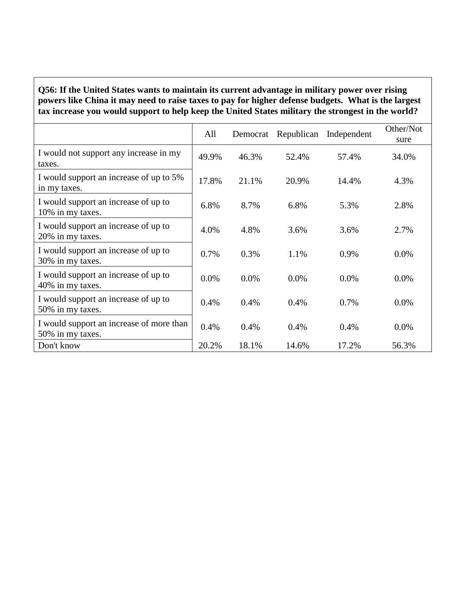## **Q56: If the United States wants to maintain its current advantage in military power over rising powers like China it may need to raise taxes to pay for higher defense budgets. What is the largest tax increase you would support to help keep the United States military the strongest in the world?**

|                                                              | All   |       | Democrat Republican | Independent | Other/Not<br>sure |
|--------------------------------------------------------------|-------|-------|---------------------|-------------|-------------------|
| I would not support any increase in my<br>taxes.             | 49.9% | 46.3% | 52.4%               | 57.4%       | 34.0%             |
| I would support an increase of up to 5%<br>in my taxes.      | 17.8% | 21.1% | 20.9%               | 14.4%       | 4.3%              |
| I would support an increase of up to<br>10% in my taxes.     | 6.8%  | 8.7%  | 6.8%                | 5.3%        | 2.8%              |
| I would support an increase of up to<br>20% in my taxes.     | 4.0%  | 4.8%  | 3.6%                | 3.6%        | 2.7%              |
| I would support an increase of up to<br>30% in my taxes.     | 0.7%  | 0.3%  | 1.1%                | 0.9%        | 0.0%              |
| I would support an increase of up to<br>40% in my taxes.     | 0.0%  | 0.0%  | $0.0\%$             | $0.0\%$     | 0.0%              |
| I would support an increase of up to<br>50% in my taxes.     | 0.4%  | 0.4%  | 0.4%                | 0.7%        | $0.0\%$           |
| I would support an increase of more than<br>50% in my taxes. | 0.4%  | 0.4%  | 0.4%                | 0.4%        | $0.0\%$           |
| Don't know                                                   | 20.2% | 18.1% | 14.6%               | 17.2%       | 56.3%             |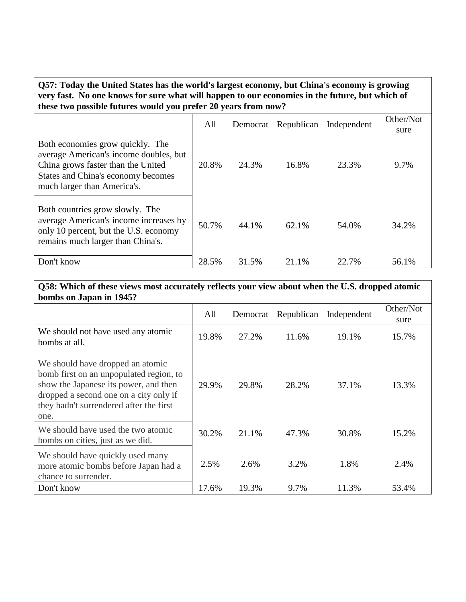**Q57: Today the United States has the world's largest economy, but China's economy is growing very fast. No one knows for sure what will happen to our economies in the future, but which of these two possible futures would you prefer 20 years from now?**

|                                                                                                                                                                                       | All   | Democrat | Republican | Independent | Other/Not<br>sure |
|---------------------------------------------------------------------------------------------------------------------------------------------------------------------------------------|-------|----------|------------|-------------|-------------------|
| Both economies grow quickly. The<br>average American's income doubles, but<br>China grows faster than the United<br>States and China's economy becomes<br>much larger than America's. | 20.8% | 24.3%    | 16.8%      | 23.3%       | 9.7%              |
| Both countries grow slowly. The<br>average American's income increases by<br>only 10 percent, but the U.S. economy<br>remains much larger than China's.                               | 50.7% | 44.1%    | 62.1%      | 54.0%       | 34.2%             |
| Don't know                                                                                                                                                                            | 28.5% | 31.5%    | 21.1%      | 22.7%       | 56.1%             |

**Q58: Which of these views most accurately reflects your view about when the U.S. dropped atomic bombs on Japan in 1945?**

|                                                                                                                                                                                                                   | All   |       | Democrat Republican | Independent | Other/Not<br>sure |
|-------------------------------------------------------------------------------------------------------------------------------------------------------------------------------------------------------------------|-------|-------|---------------------|-------------|-------------------|
| We should not have used any atomic<br>bombs at all.                                                                                                                                                               | 19.8% | 27.2% | 11.6%               | 19.1%       | 15.7%             |
| We should have dropped an atomic<br>bomb first on an unpopulated region, to<br>show the Japanese its power, and then<br>dropped a second one on a city only if<br>they hadn't surrendered after the first<br>one. | 29.9% | 29.8% | 28.2%               | 37.1%       | 13.3%             |
| We should have used the two atomic<br>bombs on cities, just as we did.                                                                                                                                            | 30.2% | 21.1% | 47.3%               | 30.8%       | 15.2%             |
| We should have quickly used many<br>more atomic bombs before Japan had a<br>chance to surrender.                                                                                                                  | 2.5%  | 2.6%  | 3.2%                | 1.8%        | 2.4%              |
| Don't know                                                                                                                                                                                                        | 17.6% | 19.3% | 9.7%                | 11.3%       | 53.4%             |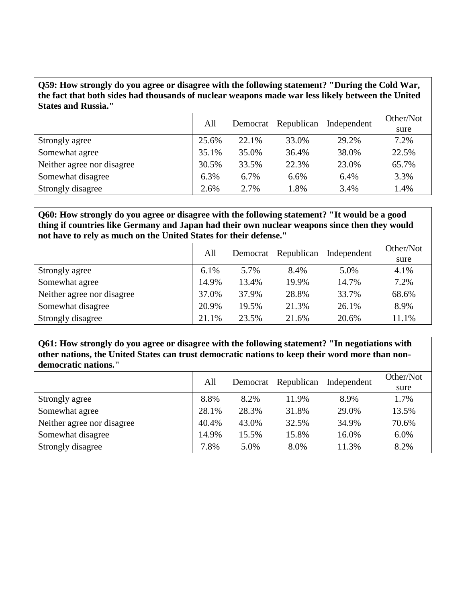**Q59: How strongly do you agree or disagree with the following statement? "During the Cold War, the fact that both sides had thousands of nuclear weapons made war less likely between the United States and Russia."**

|                            | All   | Democrat | Republican | Independent | Other/Not |
|----------------------------|-------|----------|------------|-------------|-----------|
|                            |       |          |            |             | sure      |
| Strongly agree             | 25.6% | 22.1%    | 33.0%      | 29.2%       | 7.2%      |
| Somewhat agree             | 35.1% | 35.0%    | 36.4%      | 38.0%       | 22.5%     |
| Neither agree nor disagree | 30.5% | 33.5%    | 22.3%      | 23.0%       | 65.7%     |
| Somewhat disagree          | 6.3%  | 6.7%     | 6.6%       | 6.4%        | 3.3%      |
| Strongly disagree          | 2.6%  | 2.7%     | 1.8%       | 3.4%        | 1.4%      |

**Q60: How strongly do you agree or disagree with the following statement? "It would be a good thing if countries like Germany and Japan had their own nuclear weapons since then they would not have to rely as much on the United States for their defense."**

|                            | All   |       | Democrat Republican | Independent | Other/Not |
|----------------------------|-------|-------|---------------------|-------------|-----------|
|                            |       |       |                     |             | sure      |
| Strongly agree             | 6.1%  | 5.7%  | 8.4%                | 5.0%        | 4.1%      |
| Somewhat agree             | 14.9% | 13.4% | 19.9%               | 14.7%       | 7.2%      |
| Neither agree nor disagree | 37.0% | 37.9% | 28.8%               | 33.7%       | 68.6%     |
| Somewhat disagree          | 20.9% | 19.5% | 21.3%               | 26.1%       | 8.9%      |
| Strongly disagree          | 21.1% | 23.5% | 21.6%               | 20.6%       | 11.1%     |

**Q61: How strongly do you agree or disagree with the following statement? "In negotiations with other nations, the United States can trust democratic nations to keep their word more than nondemocratic nations."**

|                            | All   | Democrat | Republican | Independent | Other/Not<br>sure |
|----------------------------|-------|----------|------------|-------------|-------------------|
| Strongly agree             | 8.8%  | 8.2%     | 11.9%      | 8.9%        | 1.7%              |
| Somewhat agree             | 28.1% | 28.3%    | 31.8%      | 29.0%       | 13.5%             |
| Neither agree nor disagree | 40.4% | 43.0%    | 32.5%      | 34.9%       | 70.6%             |
| Somewhat disagree          | 14.9% | 15.5%    | 15.8%      | 16.0%       | 6.0%              |
| Strongly disagree          | 7.8%  | 5.0%     | 8.0%       | 11.3%       | 8.2%              |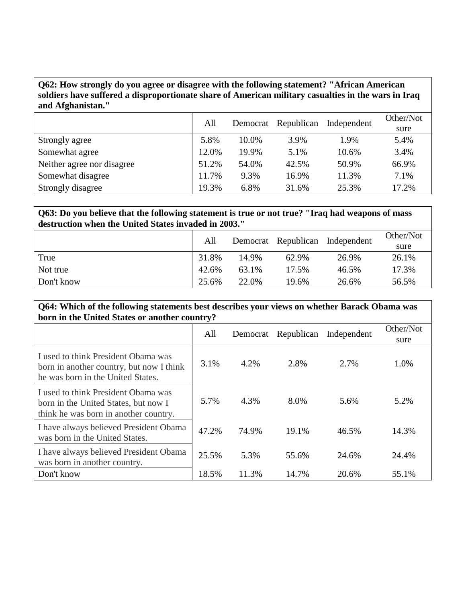## **Q62: How strongly do you agree or disagree with the following statement? "African American soldiers have suffered a disproportionate share of American military casualties in the wars in Iraq and Afghanistan."**

|                            | All   | Democrat | Republican | Independent | Other/Not |
|----------------------------|-------|----------|------------|-------------|-----------|
|                            |       |          |            |             | sure      |
| Strongly agree             | 5.8%  | 10.0%    | 3.9%       | 1.9%        | 5.4%      |
| Somewhat agree             | 12.0% | 19.9%    | 5.1%       | 10.6%       | 3.4%      |
| Neither agree nor disagree | 51.2% | 54.0%    | 42.5%      | 50.9%       | 66.9%     |
| Somewhat disagree          | 11.7% | 9.3%     | 16.9%      | 11.3%       | 7.1%      |
| Strongly disagree          | 19.3% | 6.8%     | 31.6%      | 25.3%       | 17.2%     |

#### **Q63: Do you believe that the following statement is true or not true? "Iraq had weapons of mass destruction when the United States invaded in 2003."**

|            | All   |       |       | Democrat Republican Independent | Other/Not<br>sure |
|------------|-------|-------|-------|---------------------------------|-------------------|
| True       | 31.8% | 14.9% | 62.9% | 26.9%                           | 26.1%             |
| Not true   | 42.6% | 63.1% | 17.5% | 46.5%                           | 17.3%             |
| Don't know | 25.6% | 22.0% | 19.6% | 26.6%                           | 56.5%             |

#### **Q64: Which of the following statements best describes your views on whether Barack Obama was born in the United States or another country?**

|                                                                                                                      | All   | Democrat | Republican | Independent | Other/Not<br>sure |
|----------------------------------------------------------------------------------------------------------------------|-------|----------|------------|-------------|-------------------|
| I used to think President Obama was<br>born in another country, but now I think<br>he was born in the United States. | 3.1%  | 4.2%     | 2.8%       | 2.7%        | 1.0%              |
| I used to think President Obama was<br>born in the United States, but now I<br>think he was born in another country. | 5.7%  | 4.3%     | 8.0%       | 5.6%        | 5.2%              |
| I have always believed President Obama<br>was born in the United States.                                             | 47.2% | 74.9%    | 19.1%      | 46.5%       | 14.3%             |
| I have always believed President Obama<br>was born in another country.                                               | 25.5% | 5.3%     | 55.6%      | 24.6%       | 24.4%             |
| Don't know                                                                                                           | 18.5% | 11.3%    | 14.7%      | 20.6%       | 55.1%             |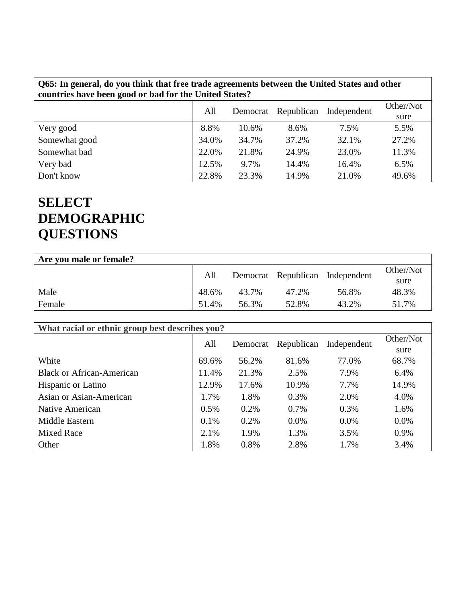| Q65: In general, do you think that free trade agreements between the United States and other |  |
|----------------------------------------------------------------------------------------------|--|
| countries have been good or bad for the United States?                                       |  |

|               | All   | Democrat | Republican | Independent | Other/Not<br>sure |
|---------------|-------|----------|------------|-------------|-------------------|
| Very good     | 8.8%  | 10.6%    | 8.6%       | 7.5%        | 5.5%              |
| Somewhat good | 34.0% | 34.7%    | 37.2%      | 32.1%       | 27.2%             |
| Somewhat bad  | 22.0% | 21.8%    | 24.9%      | 23.0%       | 11.3%             |
| Very bad      | 12.5% | 9.7%     | 14.4%      | 16.4%       | 6.5%              |
| Don't know    | 22.8% | 23.3%    | 14.9%      | 21.0%       | 49.6%             |

# **SELECT DEMOGRAPHIC QUESTIONS**

| Are you male or female? |       |       |       |                                 |           |
|-------------------------|-------|-------|-------|---------------------------------|-----------|
|                         | All   |       |       | Democrat Republican Independent | Other/Not |
|                         |       |       |       |                                 | sure      |
| Male                    | 48.6% | 43.7% | 47.2% | 56.8%                           | 48.3%     |
| Female                  | 51.4% | 56.3% | 52.8% | 43.2%                           | 51.7%     |

| What racial or ethnic group best describes you? |         |          |            |             |                   |  |  |
|-------------------------------------------------|---------|----------|------------|-------------|-------------------|--|--|
|                                                 | All     | Democrat | Republican | Independent | Other/Not<br>sure |  |  |
| White                                           | 69.6%   | 56.2%    | 81.6%      | 77.0%       | 68.7%             |  |  |
| <b>Black or African-American</b>                | 11.4%   | 21.3%    | 2.5%       | 7.9%        | 6.4%              |  |  |
| Hispanic or Latino                              | 12.9%   | 17.6%    | 10.9%      | 7.7%        | 14.9%             |  |  |
| Asian or Asian-American                         | 1.7%    | 1.8%     | 0.3%       | 2.0%        | 4.0%              |  |  |
| Native American                                 | 0.5%    | 0.2%     | 0.7%       | 0.3%        | 1.6%              |  |  |
| Middle Eastern                                  | $0.1\%$ | 0.2%     | $0.0\%$    | $0.0\%$     | $0.0\%$           |  |  |
| <b>Mixed Race</b>                               | 2.1%    | 1.9%     | 1.3%       | 3.5%        | 0.9%              |  |  |
| Other                                           | 1.8%    | 0.8%     | 2.8%       | 1.7%        | 3.4%              |  |  |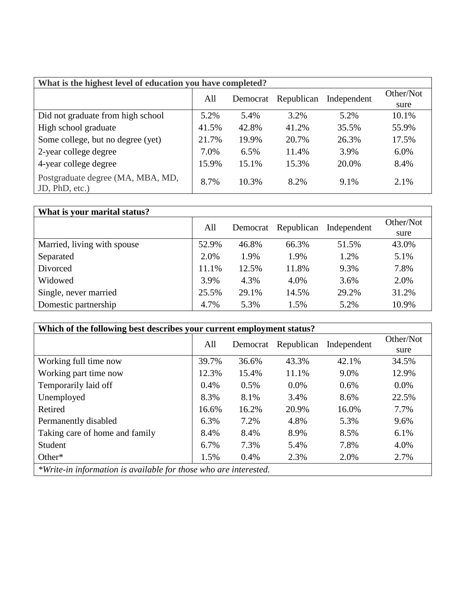| What is the highest level of education you have completed? |       |          |            |             |           |  |  |  |
|------------------------------------------------------------|-------|----------|------------|-------------|-----------|--|--|--|
|                                                            | All   | Democrat | Republican | Independent | Other/Not |  |  |  |
|                                                            |       |          |            |             | sure      |  |  |  |
| Did not graduate from high school                          | 5.2%  | 5.4%     | 3.2%       | 5.2%        | 10.1%     |  |  |  |
| High school graduate                                       | 41.5% | 42.8%    | 41.2%      | 35.5%       | 55.9%     |  |  |  |
| Some college, but no degree (yet)                          | 21.7% | 19.9%    | 20.7%      | 26.3%       | 17.5%     |  |  |  |
| 2-year college degree                                      | 7.0%  | 6.5%     | 11.4%      | 3.9%        | 6.0%      |  |  |  |
| 4-year college degree                                      | 15.9% | 15.1%    | 15.3%      | 20.0%       | 8.4%      |  |  |  |
| Postgraduate degree (MA, MBA, MD,<br>JD, PhD, etc.)        | 8.7%  | 10.3%    | 8.2%       | 9.1%        | 2.1%      |  |  |  |

| What is your marital status? |       |          |            |             |           |
|------------------------------|-------|----------|------------|-------------|-----------|
|                              | All   | Democrat | Republican | Independent | Other/Not |
|                              |       |          |            |             | sure      |
| Married, living with spouse  | 52.9% | 46.8%    | 66.3%      | 51.5%       | 43.0%     |
| Separated                    | 2.0%  | 1.9%     | 1.9%       | 1.2%        | 5.1%      |
| Divorced                     | 11.1% | 12.5%    | 11.8%      | 9.3%        | 7.8%      |
| Widowed                      | 3.9%  | 4.3%     | 4.0%       | 3.6%        | 2.0%      |
| Single, never married        | 25.5% | 29.1%    | 14.5%      | 29.2%       | 31.2%     |
| Domestic partnership         | 4.7%  | 5.3%     | 1.5%       | 5.2%        | 10.9%     |

| Which of the following best describes your current employment status? |       |          |            |             |           |  |  |  |
|-----------------------------------------------------------------------|-------|----------|------------|-------------|-----------|--|--|--|
|                                                                       | All   | Democrat | Republican | Independent | Other/Not |  |  |  |
|                                                                       |       |          |            |             | sure      |  |  |  |
| Working full time now                                                 | 39.7% | 36.6%    | 43.3%      | 42.1%       | 34.5%     |  |  |  |
| Working part time now                                                 | 12.3% | 15.4%    | 11.1%      | 9.0%        | 12.9%     |  |  |  |
| Temporarily laid off                                                  | 0.4%  | 0.5%     | 0.0%       | 0.6%        | $0.0\%$   |  |  |  |
| Unemployed                                                            | 8.3%  | 8.1%     | 3.4%       | 8.6%        | 22.5%     |  |  |  |
| Retired                                                               | 16.6% | 16.2%    | 20.9%      | 16.0%       | 7.7%      |  |  |  |
| Permanently disabled                                                  | 6.3%  | 7.2%     | 4.8%       | 5.3%        | 9.6%      |  |  |  |
| Taking care of home and family                                        | 8.4%  | 8.4%     | 8.9%       | 8.5%        | 6.1%      |  |  |  |
| Student                                                               | 6.7%  | 7.3%     | 5.4%       | 7.8%        | 4.0%      |  |  |  |
| Other*                                                                | 1.5%  | 0.4%     | 2.3%       | 2.0%        | 2.7%      |  |  |  |
| *Write-in information is available for those who are interested.      |       |          |            |             |           |  |  |  |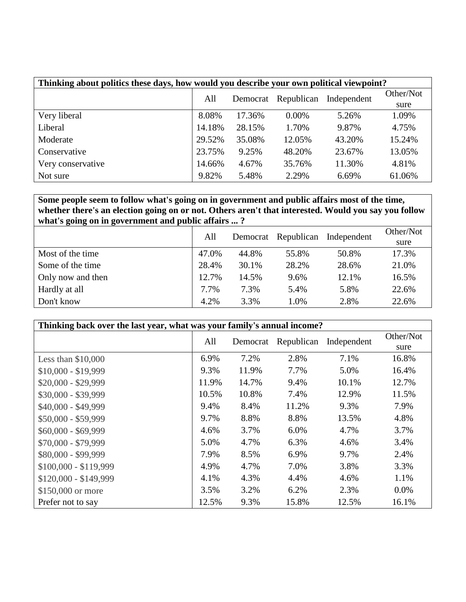| Thinking about politics these days, how would you describe your own political viewpoint? |        |                 |            |             |           |  |
|------------------------------------------------------------------------------------------|--------|-----------------|------------|-------------|-----------|--|
|                                                                                          |        | All<br>Democrat | Republican | Independent | Other/Not |  |
|                                                                                          |        |                 |            |             | sure      |  |
| Very liberal                                                                             | 8.08%  | 17.36%          | $0.00\%$   | 5.26%       | 1.09%     |  |
| Liberal                                                                                  | 14.18% | 28.15%          | 1.70%      | 9.87%       | 4.75%     |  |
| Moderate                                                                                 | 29.52% | 35.08%          | 12.05%     | 43.20%      | 15.24%    |  |
| Conservative                                                                             | 23.75% | 9.25%           | 48.20%     | 23.67%      | 13.05%    |  |
| Very conservative                                                                        | 14.66% | 4.67%           | 35.76%     | 11.30%      | 4.81%     |  |
| Not sure                                                                                 | 9.82%  | 5.48%           | 2.29%      | 6.69%       | 61.06%    |  |

**Some people seem to follow what's going on in government and public affairs most of the time, whether there's an election going on or not. Others aren't that interested. Would you say you follow what's going on in government and public affairs ... ?**

|                   | All   |       | Democrat Republican | Independent | Other/Not |
|-------------------|-------|-------|---------------------|-------------|-----------|
|                   |       |       |                     |             | sure      |
| Most of the time  | 47.0% | 44.8% | 55.8%               | 50.8%       | 17.3%     |
| Some of the time  | 28.4% | 30.1% | 28.2%               | 28.6%       | 21.0%     |
| Only now and then | 12.7% | 14.5% | 9.6%                | 12.1%       | 16.5%     |
| Hardly at all     | 7.7%  | 7.3%  | 5.4%                | 5.8%        | 22.6%     |
| Don't know        | 4.2%  | 3.3%  | 1.0%                | 2.8%        | 22.6%     |

| Thinking back over the last year, what was your family's annual income? |       |          |            |             |                   |  |  |
|-------------------------------------------------------------------------|-------|----------|------------|-------------|-------------------|--|--|
|                                                                         | All   | Democrat | Republican | Independent | Other/Not<br>sure |  |  |
| Less than $$10,000$                                                     | 6.9%  | 7.2%     | 2.8%       | 7.1%        | 16.8%             |  |  |
| $$10,000 - $19,999$                                                     | 9.3%  | 11.9%    | 7.7%       | 5.0%        | 16.4%             |  |  |
| $$20,000 - $29,999$                                                     | 11.9% | 14.7%    | 9.4%       | 10.1%       | 12.7%             |  |  |
| $$30,000 - $39,999$                                                     | 10.5% | 10.8%    | 7.4%       | 12.9%       | 11.5%             |  |  |
| \$40,000 - \$49,999                                                     | 9.4%  | 8.4%     | 11.2%      | 9.3%        | 7.9%              |  |  |
| \$50,000 - \$59,999                                                     | 9.7%  | 8.8%     | 8.8%       | 13.5%       | 4.8%              |  |  |
| $$60,000 - $69,999$                                                     | 4.6%  | 3.7%     | 6.0%       | 4.7%        | 3.7%              |  |  |
| $$70,000 - $79,999$                                                     | 5.0%  | 4.7%     | 6.3%       | 4.6%        | 3.4%              |  |  |
| \$80,000 - \$99,999                                                     | 7.9%  | 8.5%     | 6.9%       | 9.7%        | 2.4%              |  |  |
| $$100,000 - $119,999$                                                   | 4.9%  | 4.7%     | 7.0%       | 3.8%        | 3.3%              |  |  |
| $$120,000 - $149,999$                                                   | 4.1%  | 4.3%     | 4.4%       | 4.6%        | 1.1%              |  |  |
| \$150,000 or more                                                       | 3.5%  | 3.2%     | 6.2%       | 2.3%        | $0.0\%$           |  |  |
| Prefer not to say                                                       | 12.5% | 9.3%     | 15.8%      | 12.5%       | 16.1%             |  |  |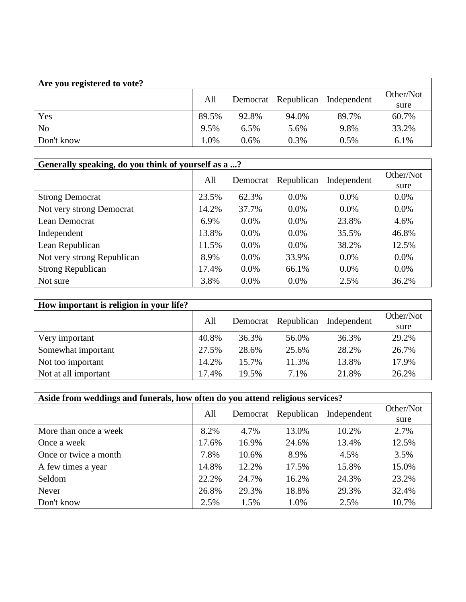| Are you registered to vote? |       |                                 |       |         |           |
|-----------------------------|-------|---------------------------------|-------|---------|-----------|
|                             | All   | Democrat Republican Independent |       |         | Other/Not |
|                             |       |                                 |       | sure    |           |
| Yes                         | 89.5% | 92.8%                           | 94.0% | 89.7%   | 60.7%     |
| N <sub>o</sub>              | 9.5%  | 6.5%                            | 5.6%  | 9.8%    | 33.2%     |
| Don't know                  | 1.0%  | $0.6\%$                         | 0.3%  | $0.5\%$ | 6.1%      |

| Generally speaking, do you think of yourself as a ? |       |          |            |             |           |  |  |
|-----------------------------------------------------|-------|----------|------------|-------------|-----------|--|--|
|                                                     | All   | Democrat | Republican | Independent | Other/Not |  |  |
|                                                     |       |          |            |             | sure      |  |  |
| <b>Strong Democrat</b>                              | 23.5% | 62.3%    | $0.0\%$    | $0.0\%$     | $0.0\%$   |  |  |
| Not very strong Democrat                            | 14.2% | 37.7%    | $0.0\%$    | $0.0\%$     | $0.0\%$   |  |  |
| Lean Democrat                                       | 6.9%  | $0.0\%$  | $0.0\%$    | 23.8%       | 4.6%      |  |  |
| Independent                                         | 13.8% | $0.0\%$  | $0.0\%$    | 35.5%       | 46.8%     |  |  |
| Lean Republican                                     | 11.5% | $0.0\%$  | 0.0%       | 38.2%       | 12.5%     |  |  |
| Not very strong Republican                          | 8.9%  | $0.0\%$  | 33.9%      | $0.0\%$     | $0.0\%$   |  |  |
| <b>Strong Republican</b>                            | 17.4% | $0.0\%$  | 66.1%      | $0.0\%$     | $0.0\%$   |  |  |
| Not sure                                            | 3.8%  | $0.0\%$  | $0.0\%$    | 2.5%        | 36.2%     |  |  |

| How important is religion in your life? |       |       |                     |             |           |
|-----------------------------------------|-------|-------|---------------------|-------------|-----------|
|                                         | All   |       | Democrat Republican | Independent | Other/Not |
|                                         |       |       |                     |             | sure      |
| Very important                          | 40.8% | 36.3% | 56.0%               | 36.3%       | 29.2%     |
| Somewhat important                      | 27.5% | 28.6% | 25.6%               | 28.2%       | 26.7%     |
| Not too important                       | 14.2% | 15.7% | 11.3%               | 13.8%       | 17.9%     |
| Not at all important                    | 17.4% | 19.5% | 7.1%                | 21.8%       | 26.2%     |

| Aside from weddings and funerals, how often do you attend religious services? |       |          |            |             |           |  |
|-------------------------------------------------------------------------------|-------|----------|------------|-------------|-----------|--|
|                                                                               | All   | Democrat | Republican | Independent | Other/Not |  |
|                                                                               |       |          |            |             | sure      |  |
| More than once a week                                                         | 8.2%  | 4.7%     | 13.0%      | 10.2%       | 2.7%      |  |
| Once a week                                                                   | 17.6% | 16.9%    | 24.6%      | 13.4%       | 12.5%     |  |
| Once or twice a month                                                         | 7.8%  | 10.6%    | 8.9%       | 4.5%        | 3.5%      |  |
| A few times a year                                                            | 14.8% | 12.2%    | 17.5%      | 15.8%       | 15.0%     |  |
| Seldom                                                                        | 22.2% | 24.7%    | 16.2%      | 24.3%       | 23.2%     |  |
| Never                                                                         | 26.8% | 29.3%    | 18.8%      | 29.3%       | 32.4%     |  |
| Don't know                                                                    | 2.5%  | 1.5%     | 1.0%       | 2.5%        | 10.7%     |  |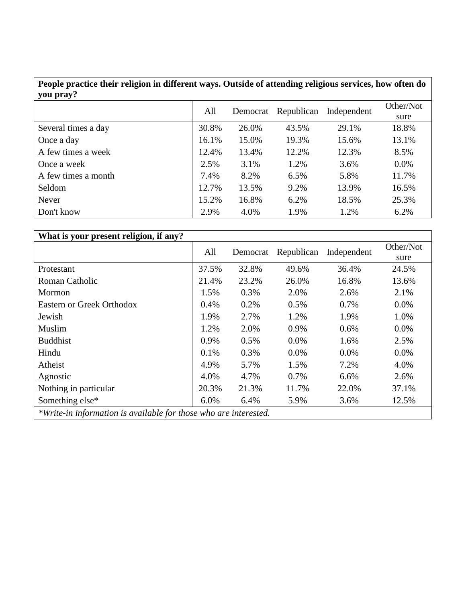### **People practice their religion in different ways. Outside of attending religious services, how often do you pray?**

| $\mathbf{v}$ . For $\mathbf{v}$ . | All   | Democrat | Republican | Independent | Other/Not<br>sure |
|-----------------------------------|-------|----------|------------|-------------|-------------------|
| Several times a day               | 30.8% | 26.0%    | 43.5%      | 29.1%       | 18.8%             |
| Once a day                        | 16.1% | 15.0%    | 19.3%      | 15.6%       | 13.1%             |
| A few times a week                | 12.4% | 13.4%    | 12.2%      | 12.3%       | 8.5%              |
| Once a week                       | 2.5%  | 3.1%     | 1.2%       | 3.6%        | 0.0%              |
| A few times a month               | 7.4%  | 8.2%     | 6.5%       | 5.8%        | 11.7%             |
| Seldom                            | 12.7% | 13.5%    | 9.2%       | 13.9%       | 16.5%             |
| Never                             | 15.2% | 16.8%    | 6.2%       | 18.5%       | 25.3%             |
| Don't know                        | 2.9%  | 4.0%     | 1.9%       | 1.2%        | 6.2%              |

| What is your present religion, if any?                           |       |          |            |             |           |  |  |
|------------------------------------------------------------------|-------|----------|------------|-------------|-----------|--|--|
|                                                                  | All   | Democrat | Republican | Independent | Other/Not |  |  |
|                                                                  |       |          |            |             | sure      |  |  |
| Protestant                                                       | 37.5% | 32.8%    | 49.6%      | 36.4%       | 24.5%     |  |  |
| Roman Catholic                                                   | 21.4% | 23.2%    | 26.0%      | 16.8%       | 13.6%     |  |  |
| Mormon                                                           | 1.5%  | 0.3%     | 2.0%       | 2.6%        | 2.1%      |  |  |
| <b>Eastern or Greek Orthodox</b>                                 | 0.4%  | 0.2%     | 0.5%       | 0.7%        | $0.0\%$   |  |  |
| Jewish                                                           | 1.9%  | 2.7%     | 1.2%       | 1.9%        | 1.0%      |  |  |
| Muslim                                                           | 1.2%  | 2.0%     | 0.9%       | 0.6%        | 0.0%      |  |  |
| <b>Buddhist</b>                                                  | 0.9%  | 0.5%     | 0.0%       | 1.6%        | 2.5%      |  |  |
| Hindu                                                            | 0.1%  | 0.3%     | 0.0%       | 0.0%        | 0.0%      |  |  |
| Atheist                                                          | 4.9%  | 5.7%     | 1.5%       | 7.2%        | 4.0%      |  |  |
| Agnostic                                                         | 4.0%  | 4.7%     | 0.7%       | 6.6%        | 2.6%      |  |  |
| Nothing in particular                                            | 20.3% | 21.3%    | 11.7%      | 22.0%       | 37.1%     |  |  |
| Something else*                                                  | 6.0%  | 6.4%     | 5.9%       | 3.6%        | 12.5%     |  |  |
| *Write-in information is available for those who are interested. |       |          |            |             |           |  |  |